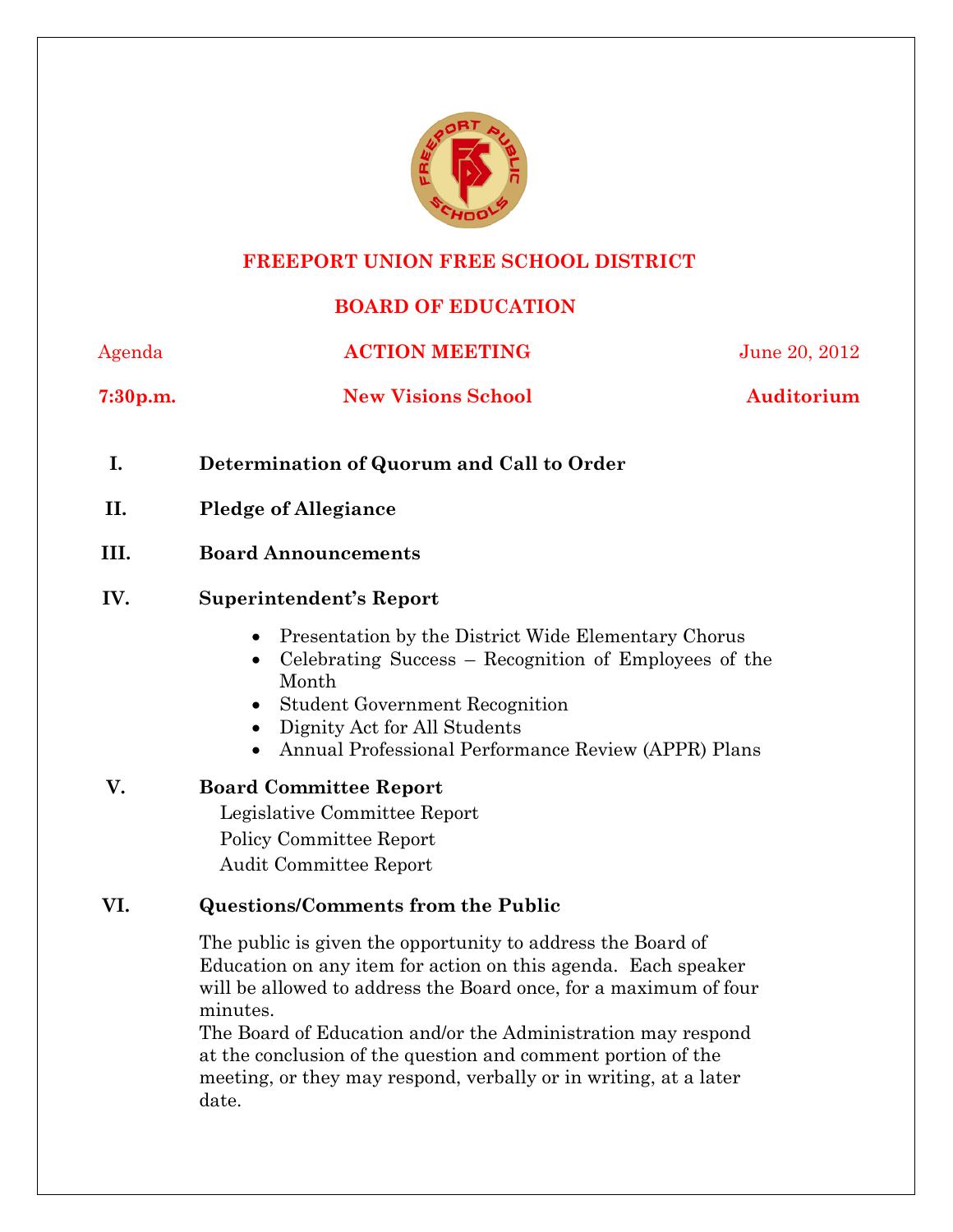

#### **FREEPORT UNION FREE SCHOOL DISTRICT**

# **BOARD OF EDUCATION**

Agenda **ACTION MEETING** June 20, 2012

**7:30p.m.** New Visions School Auditorium

- **I. Determination of Quorum and Call to Order**
- **II. Pledge of Allegiance**
- **III. Board Announcements**

#### **IV. Superintendent's Report**

- Presentation by the District Wide Elementary Chorus
- Celebrating Success Recognition of Employees of the Month
- Student Government Recognition
- Dignity Act for All Students
- Annual Professional Performance Review (APPR) Plans
- **V. Board Committee Report**  Legislative Committee Report Policy Committee Report Audit Committee Report

#### **VI. Questions/Comments from the Public**

The public is given the opportunity to address the Board of Education on any item for action on this agenda. Each speaker will be allowed to address the Board once, for a maximum of four minutes.

The Board of Education and/or the Administration may respond at the conclusion of the question and comment portion of the meeting, or they may respond, verbally or in writing, at a later date.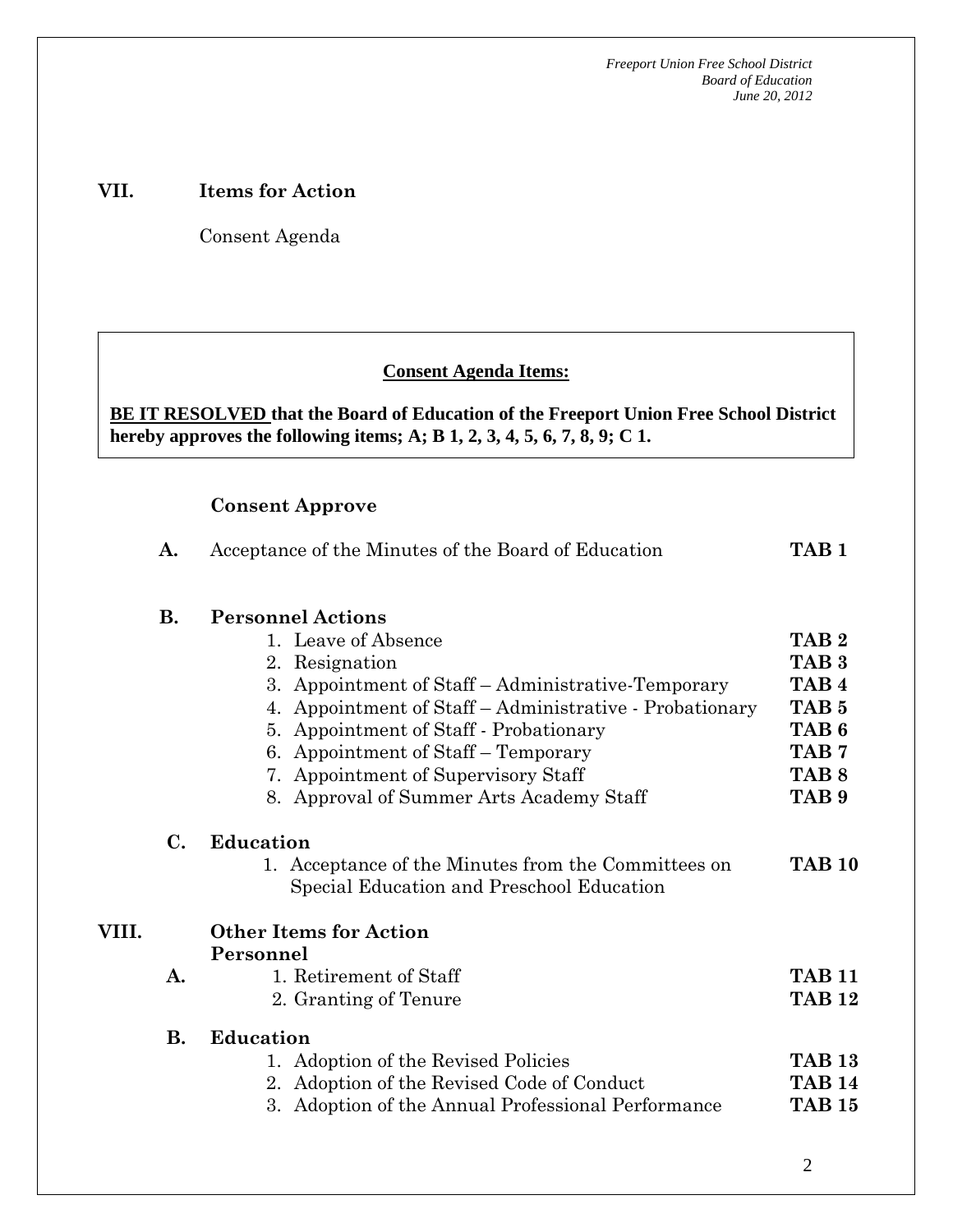### **VII. Items for Action**

Consent Agenda

 **AA. Consent - Approve** 

### **Consent Agenda Items:**

**BE IT RESOLVED that the Board of Education of the Freeport Union Free School District hereby approves the following items; A; B 1, 2, 3, 4, 5, 6, 7, 8, 9; C 1.** 

**A.** Acceptance of the Minutes of the Board of Education **TAB 1** 

#### **Consent Approve**

 *Acceptance of the Minutes*  $\mathbf{A}$ 

|       | <b>B.</b> | <b>Personnel Actions</b>                                |                  |
|-------|-----------|---------------------------------------------------------|------------------|
|       |           | 1. Leave of Absence                                     | TAB <sub>2</sub> |
|       |           | 2. Resignation                                          | TAB <sub>3</sub> |
|       |           | 3. Appointment of Staff – Administrative-Temporary      | TAB <sub>4</sub> |
|       |           | 4. Appointment of Staff – Administrative - Probationary | TAB <sub>5</sub> |
|       |           | 5. Appointment of Staff - Probationary                  | TAB <sub>6</sub> |
|       |           | 6. Appointment of Staff – Temporary                     | TAB <sub>7</sub> |
|       |           | 7. Appointment of Supervisory Staff                     | TAB <sub>8</sub> |
|       |           | 8. Approval of Summer Arts Academy Staff                | TAB <sub>9</sub> |
|       | С.        | Education                                               |                  |
|       |           | 1. Acceptance of the Minutes from the Committees on     | <b>TAB 10</b>    |
|       |           | Special Education and Preschool Education               |                  |
| VIII. |           | <b>Other Items for Action</b>                           |                  |
|       |           | Personnel                                               |                  |
|       | A.        | 1. Retirement of Staff                                  | <b>TAR 11</b>    |
|       |           | 2. Granting of Tenure                                   | <b>TAB 12</b>    |
|       | <b>B.</b> | <b>Education</b>                                        |                  |
|       |           | 1. Adoption of the Revised Policies                     | <b>TAB 13</b>    |
|       |           | 2. Adoption of the Revised Code of Conduct              | <b>TAR 14</b>    |
|       |           | 3. Adoption of the Annual Professional Performance      | <b>TAB 15</b>    |
|       |           |                                                         |                  |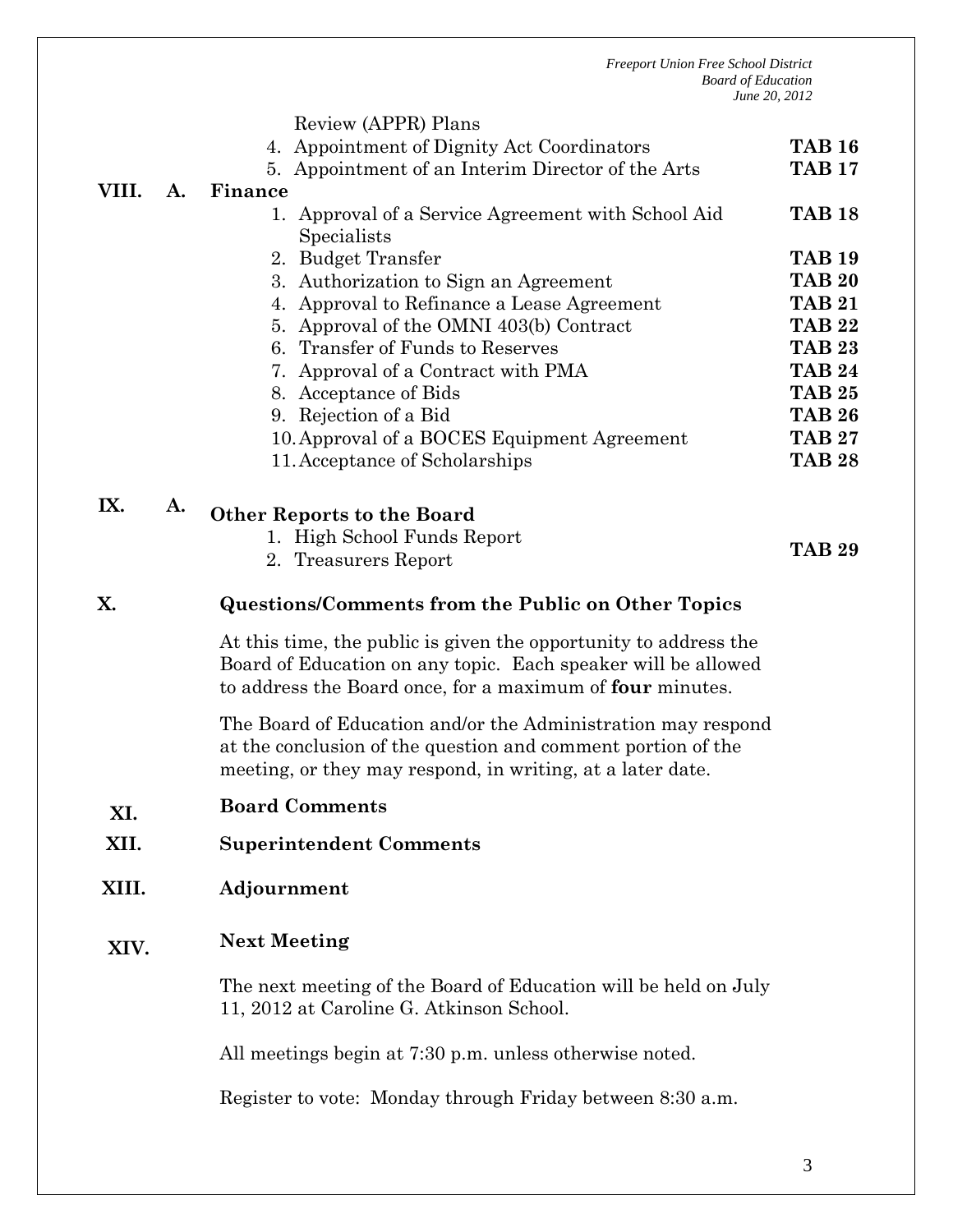|       |    | Review (APPR) Plans                                                                                                                                                                            |                                |
|-------|----|------------------------------------------------------------------------------------------------------------------------------------------------------------------------------------------------|--------------------------------|
|       |    | 4. Appointment of Dignity Act Coordinators                                                                                                                                                     | <b>TAB 16</b>                  |
|       |    | 5. Appointment of an Interim Director of the Arts                                                                                                                                              | <b>TAB 17</b>                  |
| VIII. | A. | Finance                                                                                                                                                                                        |                                |
|       |    | 1. Approval of a Service Agreement with School Aid                                                                                                                                             | <b>TAB 18</b>                  |
|       |    | Specialists                                                                                                                                                                                    |                                |
|       |    | 2. Budget Transfer                                                                                                                                                                             | <b>TAB 19</b><br><b>TAB 20</b> |
|       |    | 3. Authorization to Sign an Agreement<br>4. Approval to Refinance a Lease Agreement                                                                                                            | <b>TAB 21</b>                  |
|       |    | 5. Approval of the OMNI 403(b) Contract                                                                                                                                                        | <b>TAB 22</b>                  |
|       |    | 6. Transfer of Funds to Reserves                                                                                                                                                               | <b>TAB 23</b>                  |
|       |    | 7. Approval of a Contract with PMA                                                                                                                                                             | <b>TAB 24</b>                  |
|       |    | 8. Acceptance of Bids                                                                                                                                                                          | <b>TAB 25</b>                  |
|       |    | 9. Rejection of a Bid                                                                                                                                                                          | <b>TAB 26</b>                  |
|       |    | 10. Approval of a BOCES Equipment Agreement                                                                                                                                                    | <b>TAB 27</b>                  |
|       |    | 11. Acceptance of Scholarships                                                                                                                                                                 | <b>TAB 28</b>                  |
| IX.   | A. |                                                                                                                                                                                                |                                |
|       |    | <b>Other Reports to the Board</b>                                                                                                                                                              |                                |
|       |    | 1. High School Funds Report                                                                                                                                                                    | <b>TAB 29</b>                  |
|       |    | 2. Treasurers Report                                                                                                                                                                           |                                |
| X.    |    | <b>Questions/Comments from the Public on Other Topics</b>                                                                                                                                      |                                |
|       |    | At this time, the public is given the opportunity to address the<br>Board of Education on any topic. Each speaker will be allowed<br>to address the Board once, for a maximum of four minutes. |                                |
|       |    | The Board of Education and/or the Administration may respond<br>at the conclusion of the question and comment portion of the<br>meeting, or they may respond, in writing, at a later date.     |                                |
| XI.   |    | <b>Board Comments</b>                                                                                                                                                                          |                                |
| XII.  |    | <b>Superintendent Comments</b>                                                                                                                                                                 |                                |
|       |    |                                                                                                                                                                                                |                                |
| XIII. |    | Adjournment                                                                                                                                                                                    |                                |
| XIV.  |    | <b>Next Meeting</b>                                                                                                                                                                            |                                |
|       |    | The next meeting of the Board of Education will be held on July<br>11, 2012 at Caroline G. Atkinson School.                                                                                    |                                |
|       |    | All meetings begin at 7:30 p.m. unless otherwise noted.                                                                                                                                        |                                |
|       |    | Register to vote: Monday through Friday between 8:30 a.m.                                                                                                                                      |                                |
|       |    |                                                                                                                                                                                                |                                |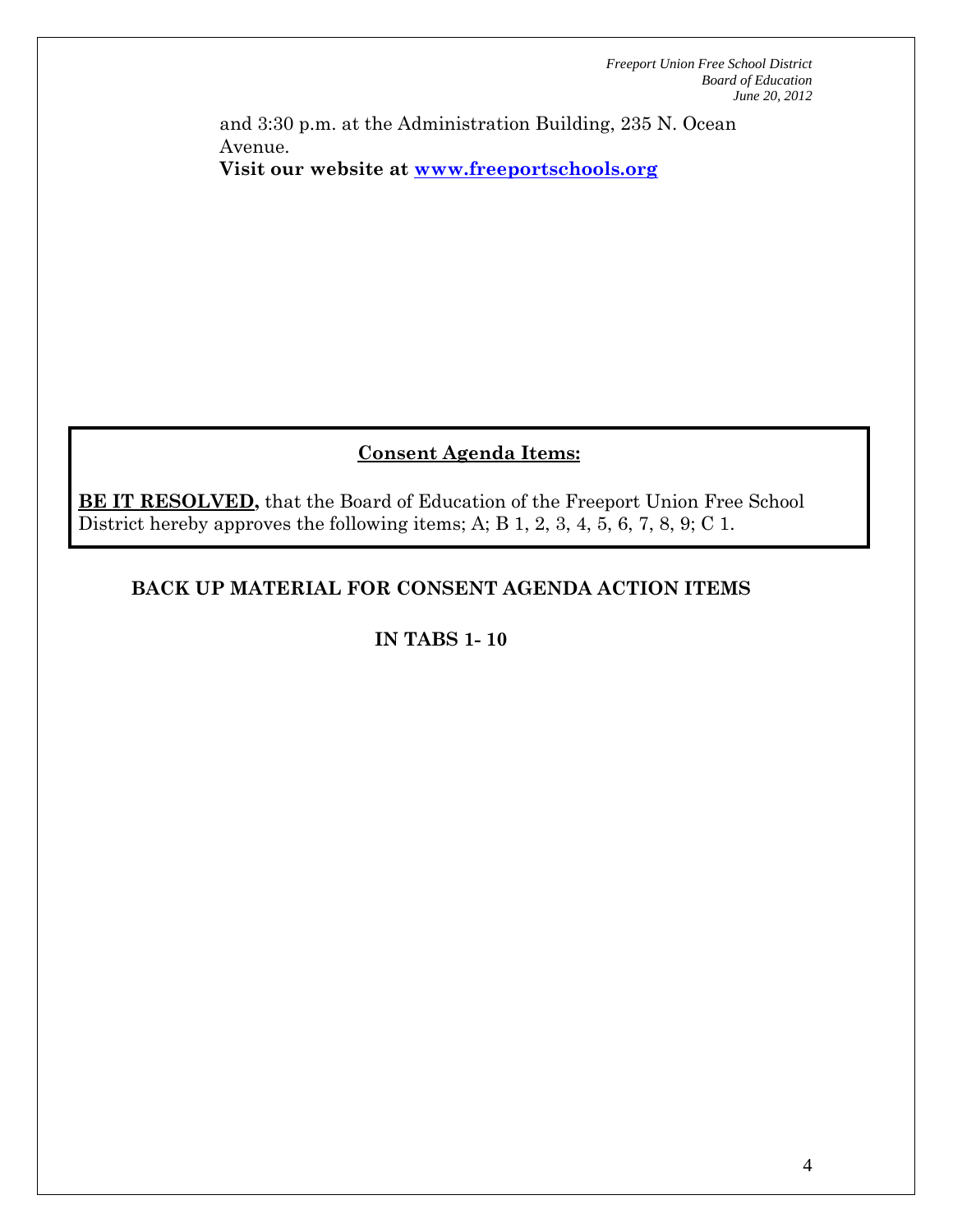and 3:30 p.m. at the Administration Building, 235 N. Ocean Avenue. **Visit our website at www.freeportschools.org**

# **Consent Agenda Items:**

**BE IT RESOLVED,** that the Board of Education of the Freeport Union Free School District hereby approves the following items; A; B 1, 2, 3, 4, 5, 6, 7, 8, 9; C 1.

# **BACK UP MATERIAL FOR CONSENT AGENDA ACTION ITEMS**

# **IN TABS 1- 10**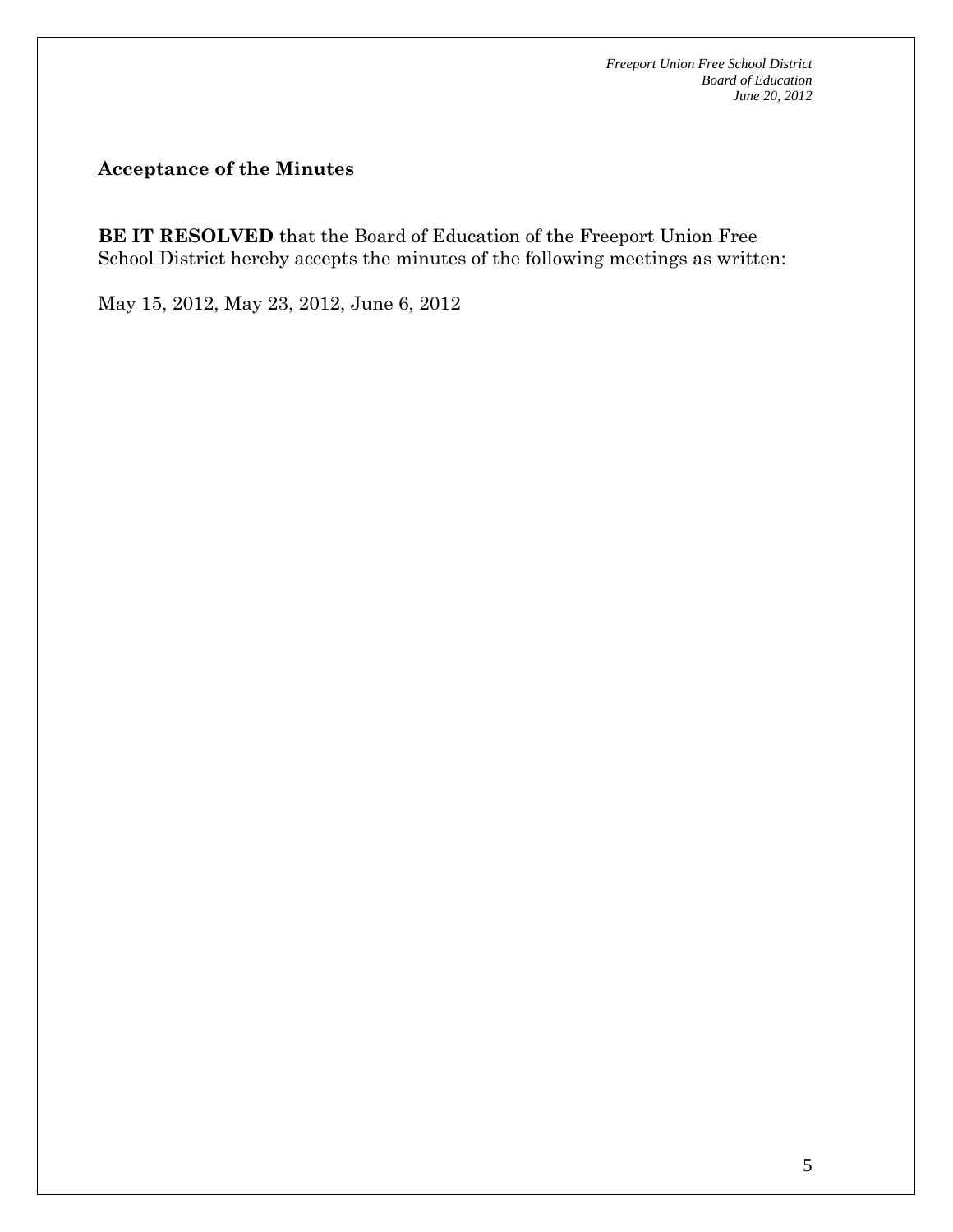**Acceptance of the Minutes** 

**BE IT RESOLVED** that the Board of Education of the Freeport Union Free School District hereby accepts the minutes of the following meetings as written:

May 15, 2012, May 23, 2012, June 6, 2012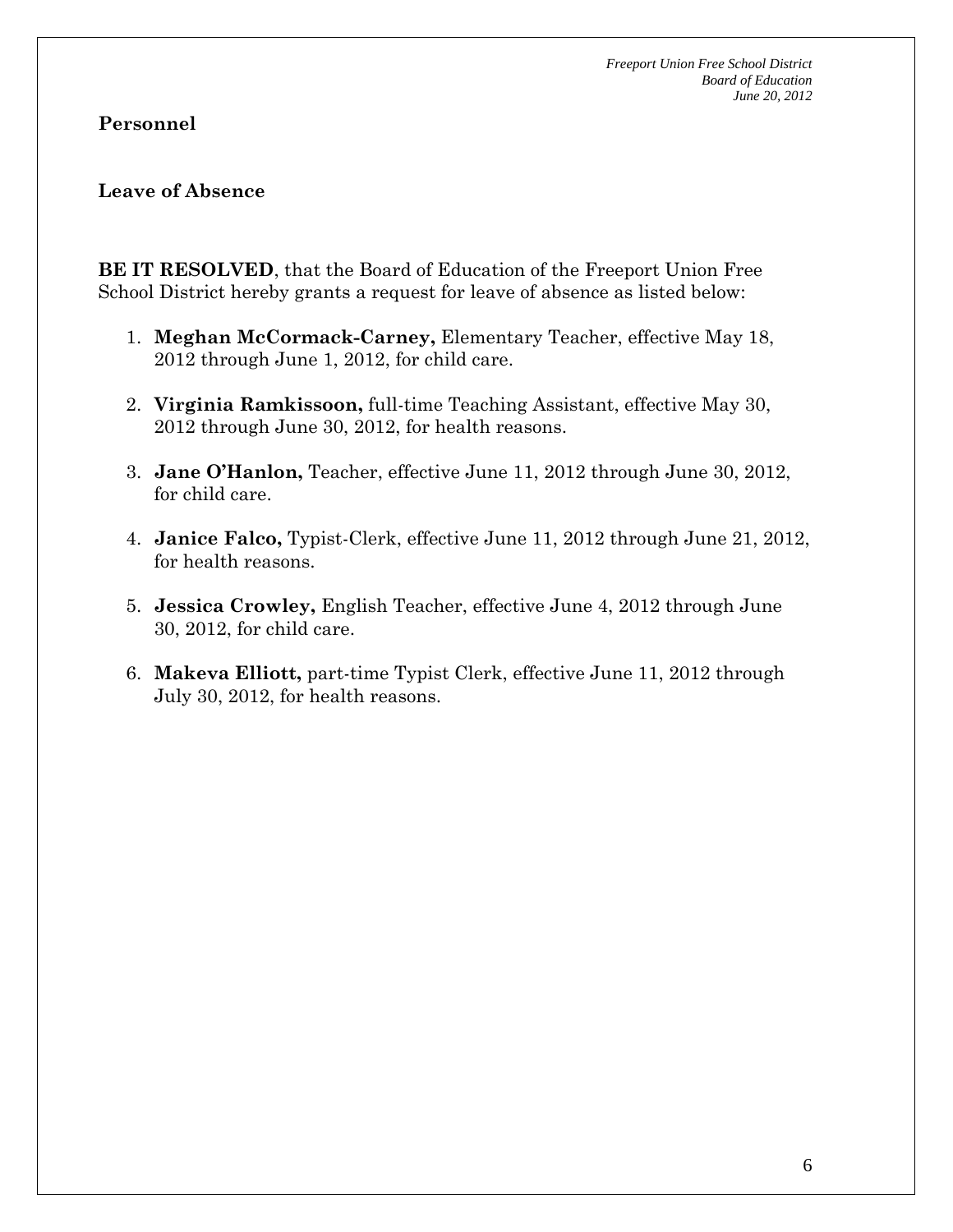### **Personnel**

#### **Leave of Absence**

**BE IT RESOLVED**, that the Board of Education of the Freeport Union Free School District hereby grants a request for leave of absence as listed below:

- 1. **Meghan McCormack-Carney,** Elementary Teacher, effective May 18, 2012 through June 1, 2012, for child care.
- 2. **Virginia Ramkissoon,** full-time Teaching Assistant, effective May 30, 2012 through June 30, 2012, for health reasons.
- 3. **Jane O'Hanlon,** Teacher, effective June 11, 2012 through June 30, 2012, for child care.
- 4. **Janice Falco,** Typist-Clerk, effective June 11, 2012 through June 21, 2012, for health reasons.
- 5. **Jessica Crowley,** English Teacher, effective June 4, 2012 through June 30, 2012, for child care.
- 6. **Makeva Elliott,** part-time Typist Clerk, effective June 11, 2012 through July 30, 2012, for health reasons.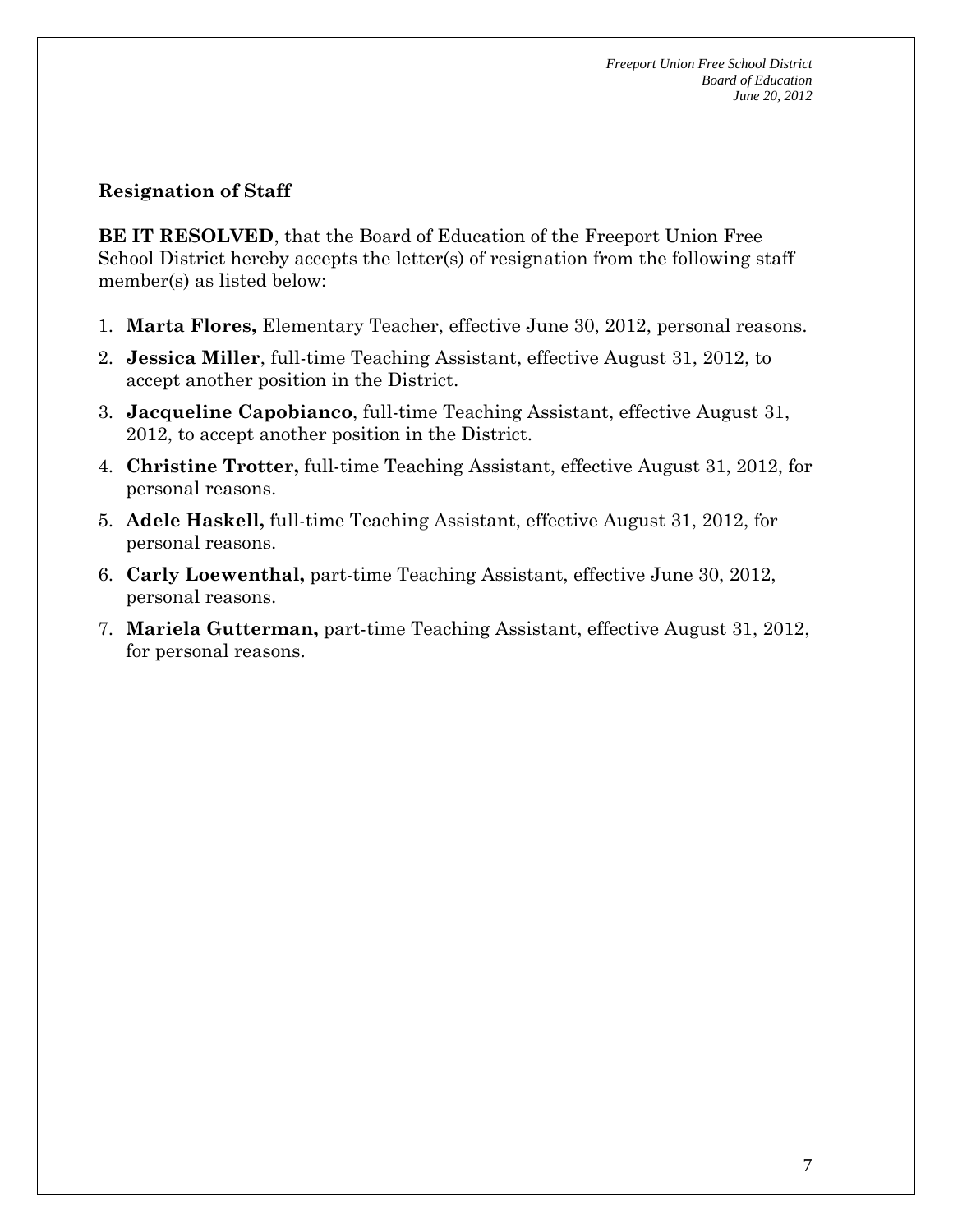### **Resignation of Staff**

**BE IT RESOLVED**, that the Board of Education of the Freeport Union Free School District hereby accepts the letter(s) of resignation from the following staff member(s) as listed below:

- 1. **Marta Flores,** Elementary Teacher, effective June 30, 2012, personal reasons.
- 2. **Jessica Miller**, full-time Teaching Assistant, effective August 31, 2012, to accept another position in the District.
- 3. **Jacqueline Capobianco**, full-time Teaching Assistant, effective August 31, 2012, to accept another position in the District.
- 4. **Christine Trotter,** full-time Teaching Assistant, effective August 31, 2012, for personal reasons.
- 5. **Adele Haskell,** full-time Teaching Assistant, effective August 31, 2012, for personal reasons.
- 6. **Carly Loewenthal,** part-time Teaching Assistant, effective June 30, 2012, personal reasons.
- 7. **Mariela Gutterman,** part-time Teaching Assistant, effective August 31, 2012, for personal reasons.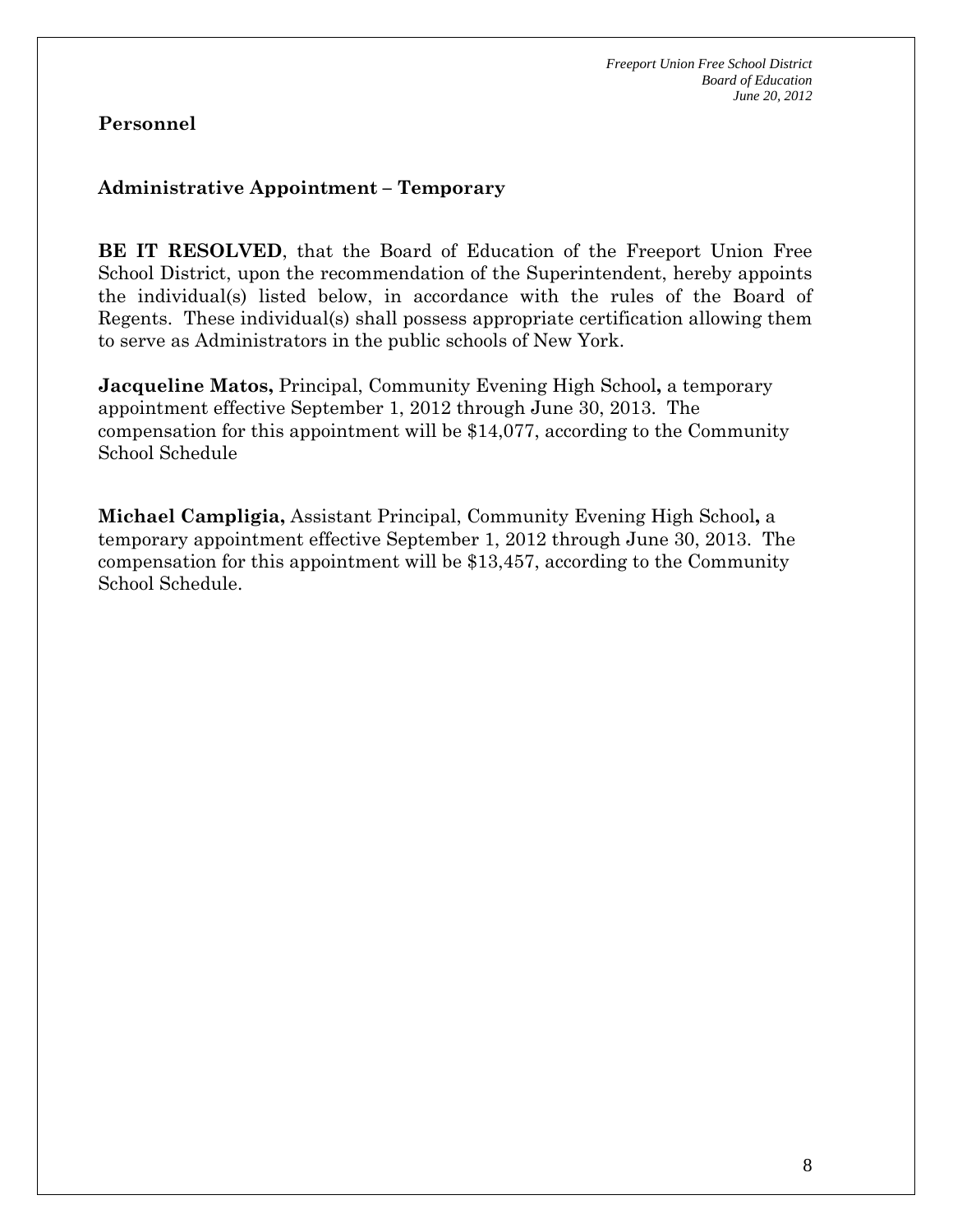## **Personnel**

### **Administrative Appointment – Temporary**

**BE IT RESOLVED**, that the Board of Education of the Freeport Union Free School District, upon the recommendation of the Superintendent, hereby appoints the individual(s) listed below, in accordance with the rules of the Board of Regents. These individual(s) shall possess appropriate certification allowing them to serve as Administrators in the public schools of New York.

**Jacqueline Matos,** Principal, Community Evening High School**,** a temporary appointment effective September 1, 2012 through June 30, 2013. The compensation for this appointment will be \$14,077, according to the Community School Schedule

**Michael Campligia,** Assistant Principal, Community Evening High School**,** a temporary appointment effective September 1, 2012 through June 30, 2013. The compensation for this appointment will be \$13,457, according to the Community School Schedule.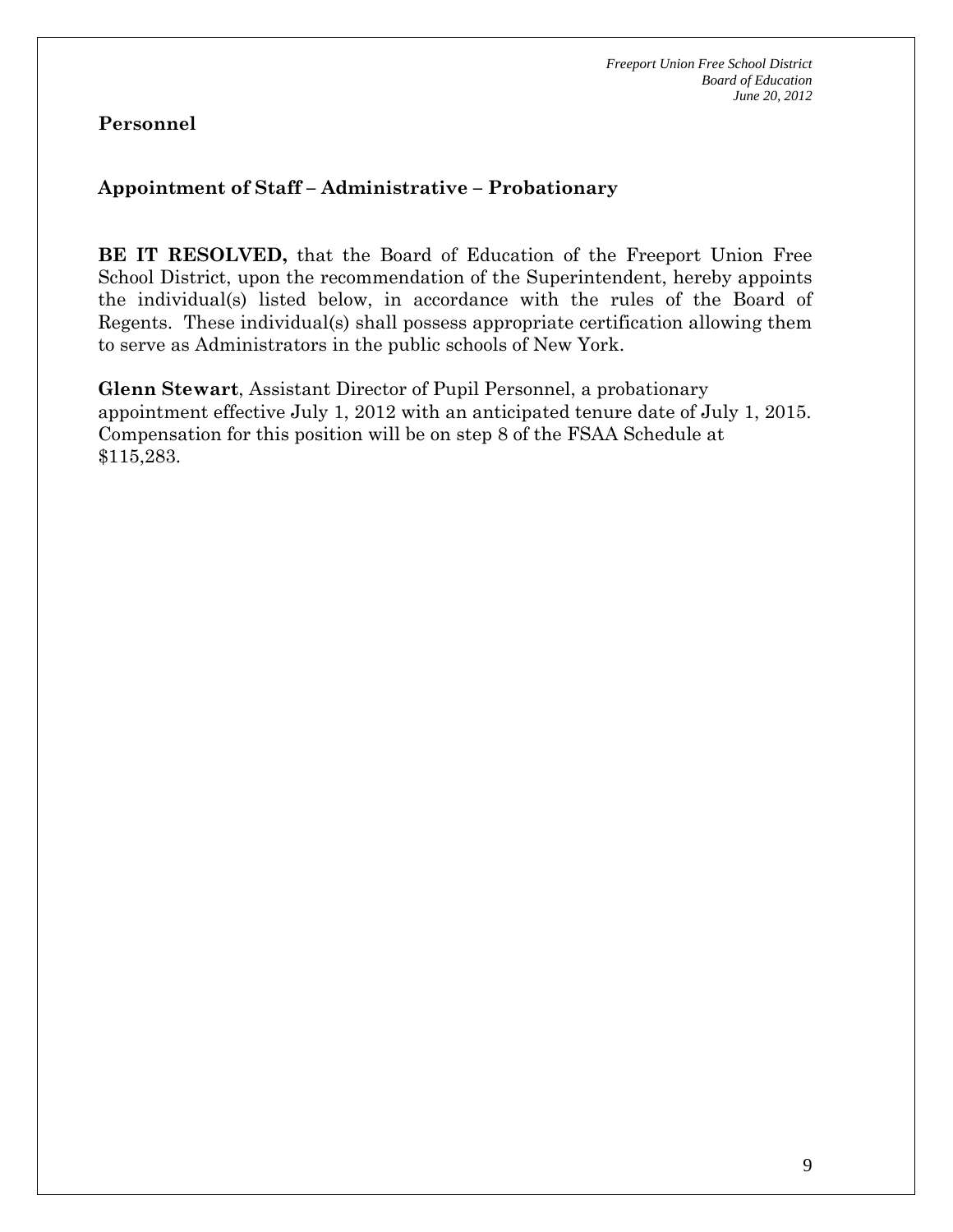# **Personnel**

#### **Appointment of Staff – Administrative – Probationary**

**BE IT RESOLVED,** that the Board of Education of the Freeport Union Free School District, upon the recommendation of the Superintendent, hereby appoints the individual(s) listed below, in accordance with the rules of the Board of Regents. These individual(s) shall possess appropriate certification allowing them to serve as Administrators in the public schools of New York.

**Glenn Stewart**, Assistant Director of Pupil Personnel, a probationary appointment effective July 1, 2012 with an anticipated tenure date of July 1, 2015. Compensation for this position will be on step 8 of the FSAA Schedule at \$115,283.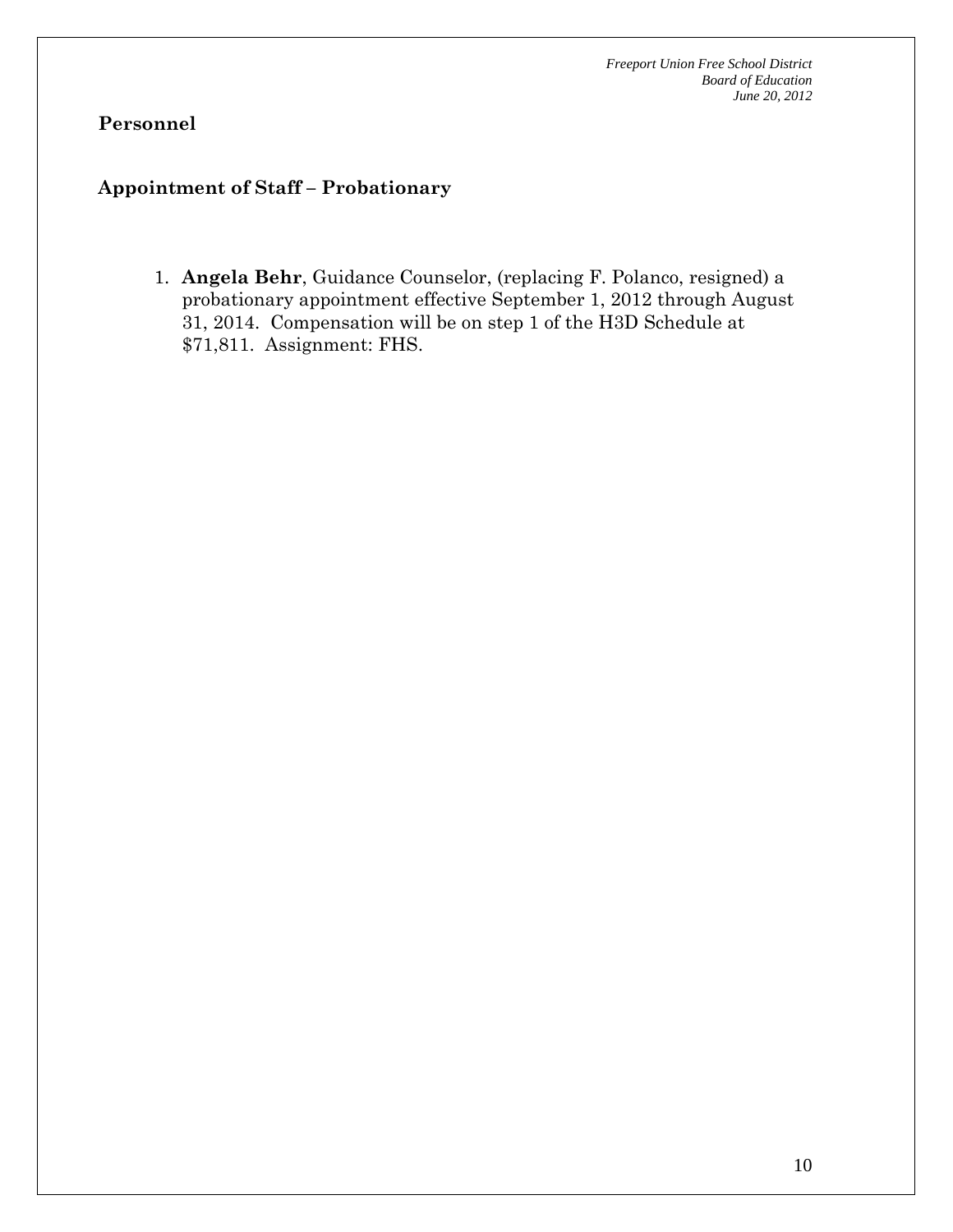# **Personnel**

### **Appointment of Staff – Probationary**

1. **Angela Behr**, Guidance Counselor, (replacing F. Polanco, resigned) a probationary appointment effective September 1, 2012 through August 31, 2014. Compensation will be on step 1 of the H3D Schedule at \$71,811. Assignment: FHS.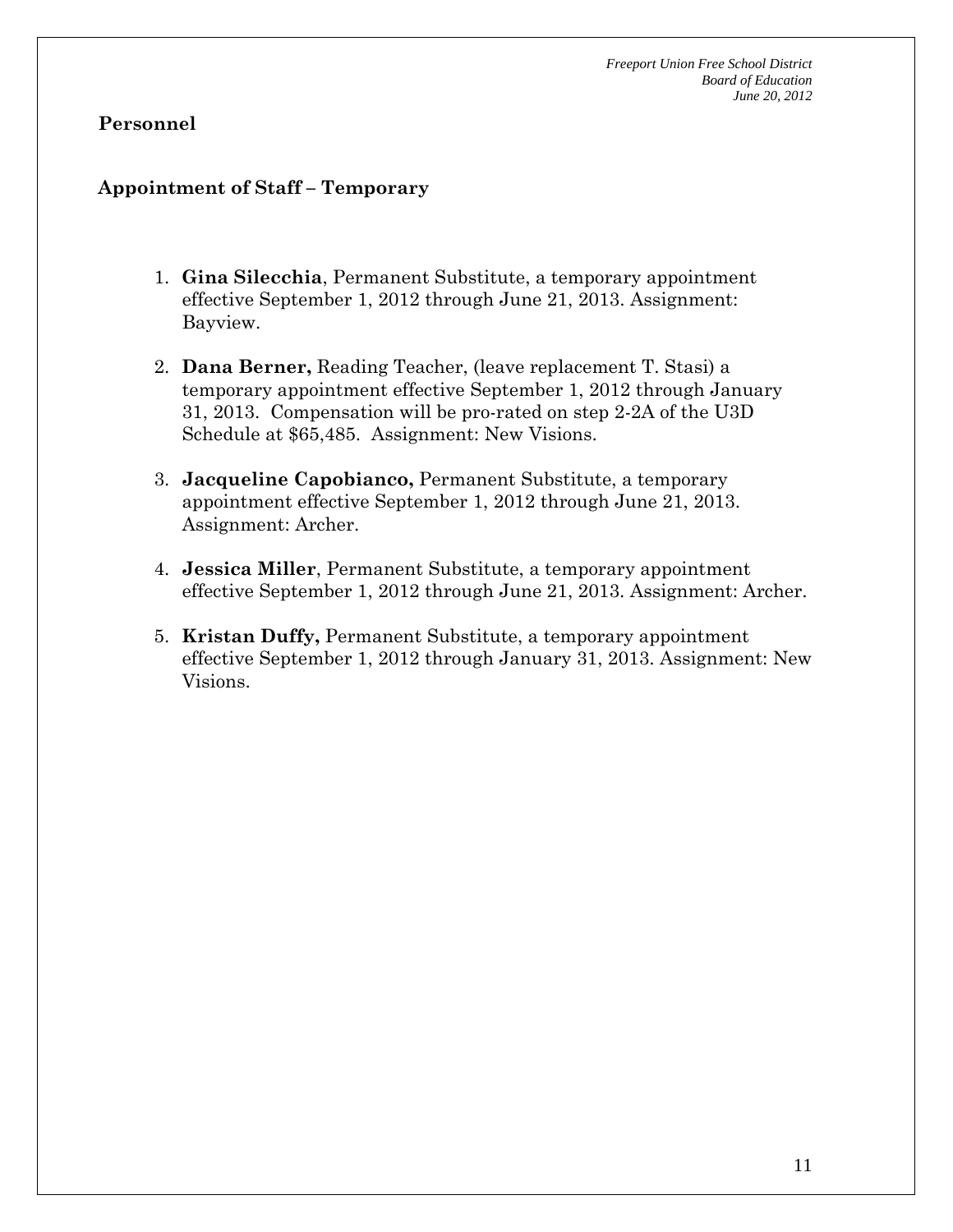#### **Personnel**

#### **Appointment of Staff – Temporary**

- 1. **Gina Silecchia**, Permanent Substitute, a temporary appointment effective September 1, 2012 through June 21, 2013. Assignment: Bayview.
- 2. **Dana Berner,** Reading Teacher, (leave replacement T. Stasi) a temporary appointment effective September 1, 2012 through January 31, 2013. Compensation will be pro-rated on step 2-2A of the U3D Schedule at \$65,485. Assignment: New Visions.
- 3. **Jacqueline Capobianco,** Permanent Substitute, a temporary appointment effective September 1, 2012 through June 21, 2013. Assignment: Archer.
- 4. **Jessica Miller**, Permanent Substitute, a temporary appointment effective September 1, 2012 through June 21, 2013. Assignment: Archer.
- 5. **Kristan Duffy,** Permanent Substitute, a temporary appointment effective September 1, 2012 through January 31, 2013. Assignment: New Visions.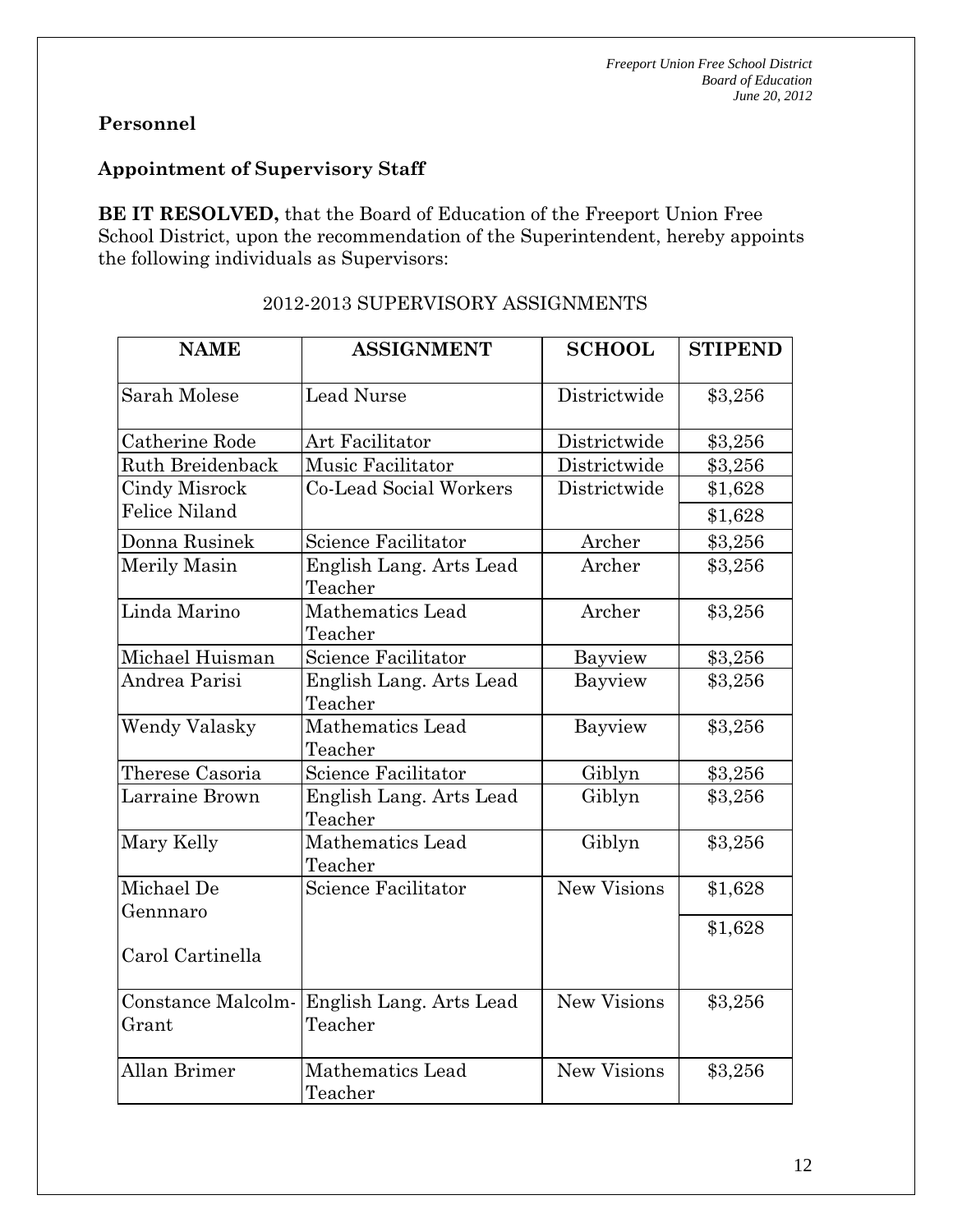# **Personnel**

## **Appointment of Supervisory Staff**

**BE IT RESOLVED,** that the Board of Education of the Freeport Union Free School District, upon the recommendation of the Superintendent, hereby appoints the following individuals as Supervisors:

| <b>NAME</b>                                  | <b>ASSIGNMENT</b>                  | <b>SCHOOL</b>      | <b>STIPEND</b> |
|----------------------------------------------|------------------------------------|--------------------|----------------|
| Sarah Molese                                 | <b>Lead Nurse</b>                  | Districtwide       | \$3,256        |
| Catherine Rode                               | Art Facilitator                    | Districtwide       | \$3,256        |
| Ruth Breidenback                             | Music Facilitator                  | Districtwide       | \$3,256        |
| <b>Cindy Misrock</b><br><b>Felice Niland</b> | Co-Lead Social Workers             | Districtwide       | \$1,628        |
|                                              |                                    |                    | \$1,628        |
| Donna Rusinek                                | Science Facilitator                | Archer             | \$3,256        |
| Merily Masin                                 | English Lang. Arts Lead<br>Teacher | Archer             | \$3,256        |
| Linda Marino                                 | <b>Mathematics Lead</b><br>Teacher | Archer             | \$3,256        |
| Michael Huisman                              | Science Facilitator                | Bayview            | \$3,256        |
| Andrea Parisi                                | English Lang. Arts Lead<br>Teacher | Bayview            | \$3,256        |
| <b>Wendy Valasky</b>                         | Mathematics Lead<br>Teacher        | Bayview            | \$3,256        |
| Therese Casoria                              | <b>Science Facilitator</b>         | Giblyn             | \$3,256        |
| Larraine Brown                               | English Lang. Arts Lead<br>Teacher | Giblyn             | \$3,256        |
| Mary Kelly                                   | <b>Mathematics Lead</b><br>Teacher | Giblyn             | \$3,256        |
| Michael De<br>Gennnaro                       | <b>Science Facilitator</b>         | <b>New Visions</b> | \$1,628        |
| Carol Cartinella                             |                                    |                    | \$1,628        |
| Constance Malcolm-                           | English Lang. Arts Lead            | <b>New Visions</b> | \$3,256        |
| Grant                                        | Teacher                            |                    |                |
| Allan Brimer                                 | <b>Mathematics Lead</b><br>Teacher | New Visions        | \$3,256        |

# 2012-2013 SUPERVISORY ASSIGNMENTS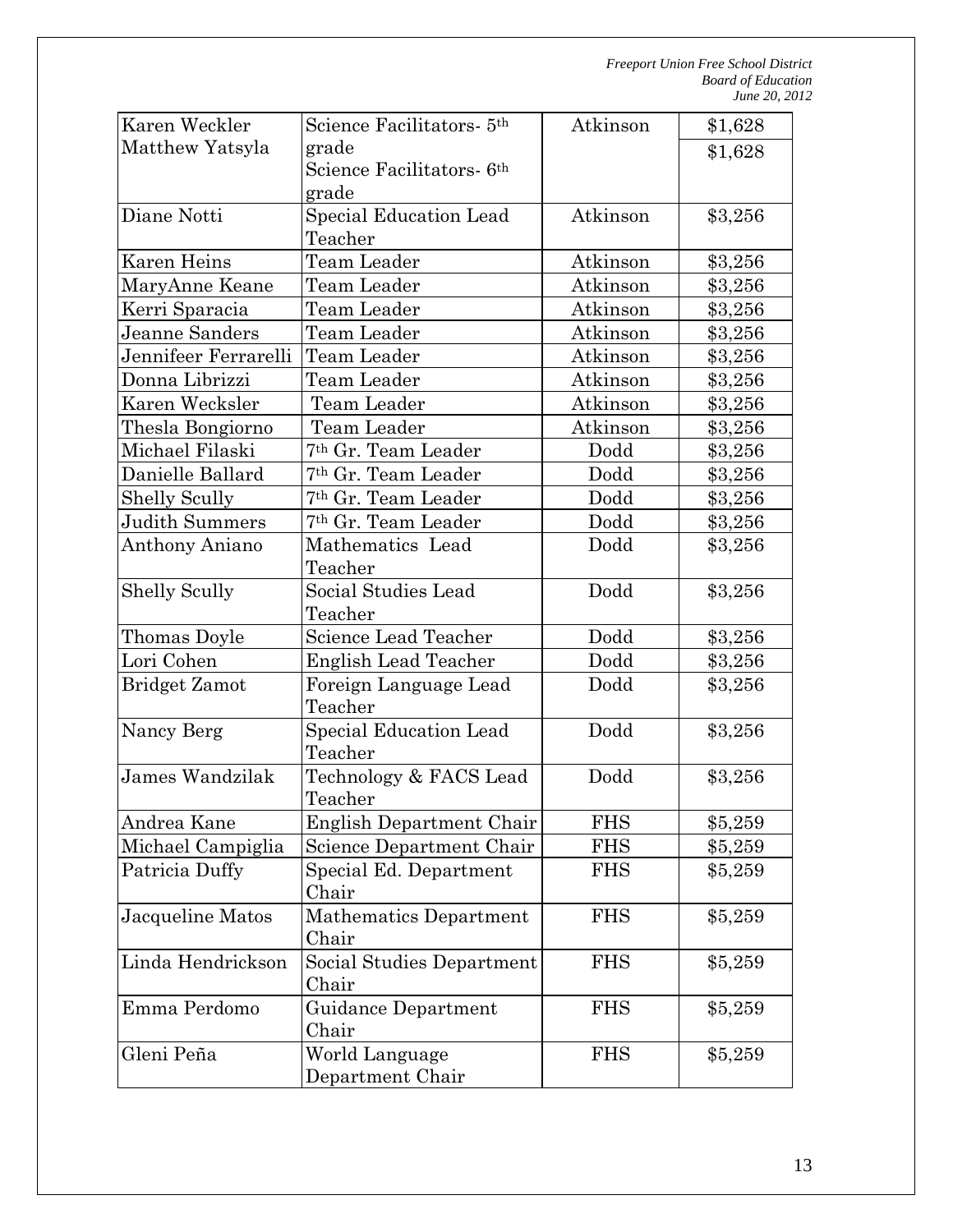| Karen Weckler        | Science Facilitators- 5th             | Atkinson   | \$1,628 |
|----------------------|---------------------------------------|------------|---------|
| Matthew Yatsyla      | grade                                 |            | \$1,628 |
|                      | Science Facilitators- 6 <sup>th</sup> |            |         |
|                      | grade                                 |            |         |
| Diane Notti          | Special Education Lead                | Atkinson   | \$3,256 |
|                      | Teacher                               |            |         |
| Karen Heins          | Team Leader                           | Atkinson   | \$3,256 |
| MaryAnne Keane       | Team Leader                           | Atkinson   | \$3,256 |
| Kerri Sparacia       | Team Leader                           | Atkinson   | \$3,256 |
| Jeanne Sanders       | Team Leader                           | Atkinson   | \$3,256 |
| Jennifeer Ferrarelli | Team Leader                           | Atkinson   | \$3,256 |
| Donna Librizzi       | Team Leader                           | Atkinson   | \$3,256 |
| Karen Wecksler       | Team Leader                           | Atkinson   | \$3,256 |
| Thesla Bongiorno     | Team Leader                           | Atkinson   | \$3,256 |
| Michael Filaski      | <sup>7th</sup> Gr. Team Leader        | Dodd       | \$3,256 |
| Danielle Ballard     | <sup>7th</sup> Gr. Team Leader        | Dodd       | \$3,256 |
| <b>Shelly Scully</b> | <sup>7th</sup> Gr. Team Leader        | Dodd       | \$3,256 |
| Judith Summers       | <sup>7th</sup> Gr. Team Leader        | Dodd       | \$3,256 |
| Anthony Aniano       | Mathematics Lead                      | Dodd       | \$3,256 |
|                      | Teacher                               |            |         |
| <b>Shelly Scully</b> | Social Studies Lead                   | Dodd       | \$3,256 |
|                      | Teacher                               |            |         |
| Thomas Doyle         | Science Lead Teacher                  | Dodd       | \$3,256 |
| Lori Cohen           | <b>English Lead Teacher</b>           | Dodd       | \$3,256 |
| <b>Bridget Zamot</b> | Foreign Language Lead                 | Dodd       | \$3,256 |
|                      | Teacher                               |            |         |
| Nancy Berg           | Special Education Lead                | Dodd       | \$3,256 |
|                      | Teacher                               |            |         |
| James Wandzilak      | Technology & FACS Lead                | Dodd       | \$3,256 |
|                      | Teacher                               |            |         |
| Andrea Kane          | English Department Chair              | FHS        | \$5,259 |
| Michael Campiglia    | Science Department Chair              | <b>FHS</b> | \$5,259 |
| Patricia Duffy       | Special Ed. Department                | <b>FHS</b> | \$5,259 |
|                      | Chair                                 |            |         |
| Jacqueline Matos     | Mathematics Department                | <b>FHS</b> | \$5,259 |
|                      | Chair                                 |            |         |
| Linda Hendrickson    | Social Studies Department             | <b>FHS</b> | \$5,259 |
|                      | Chair                                 |            |         |
| Emma Perdomo         | <b>Guidance Department</b>            | <b>FHS</b> | \$5,259 |
|                      | Chair                                 |            |         |
| Gleni Peña           | World Language                        | <b>FHS</b> | \$5,259 |
|                      | Department Chair                      |            |         |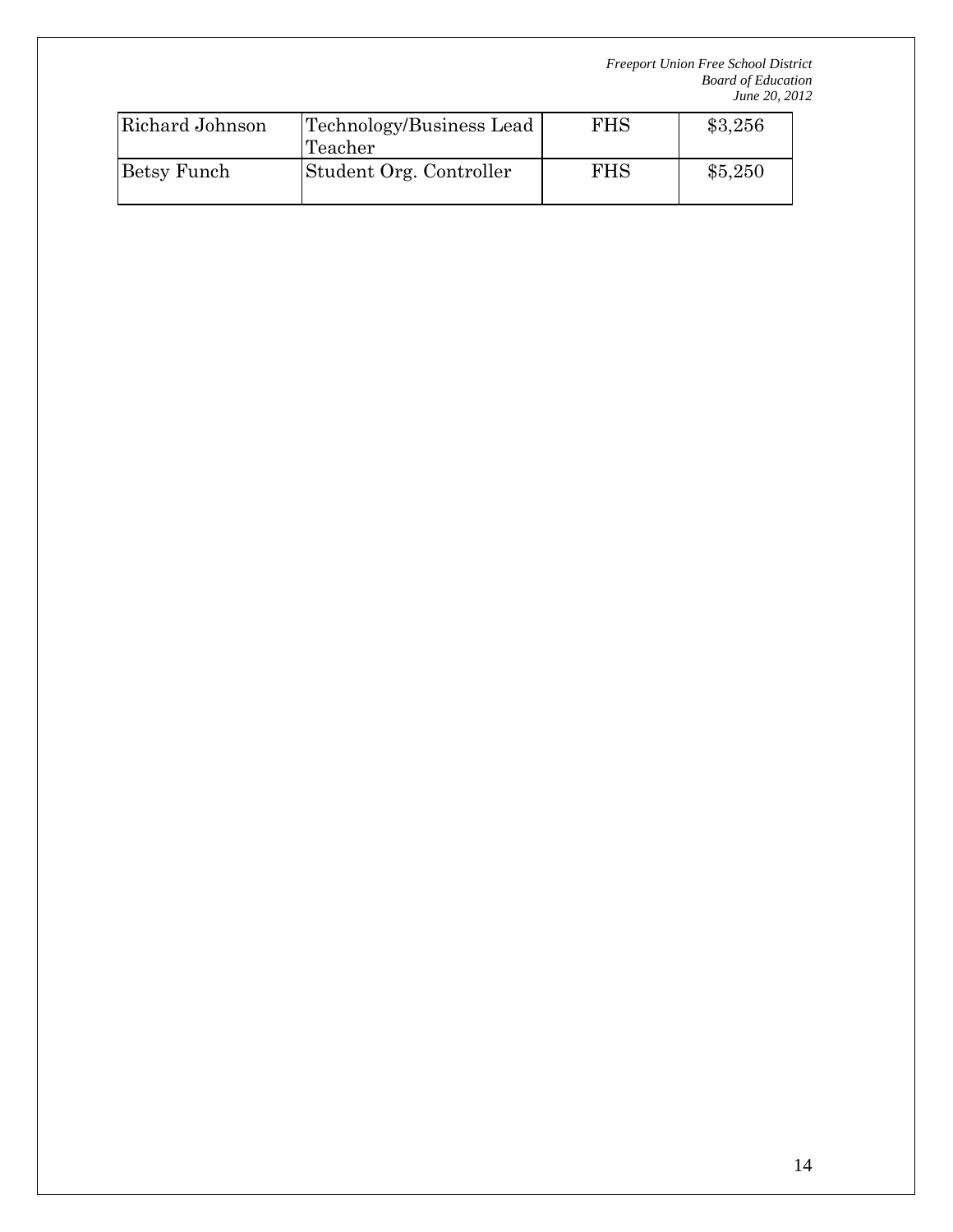| Richard Johnson | Technology/Business Lead<br>Teacher | <b>FHS</b> | \$3,256 |
|-----------------|-------------------------------------|------------|---------|
| Betsy Funch     | Student Org. Controller             | <b>FHS</b> | \$5,250 |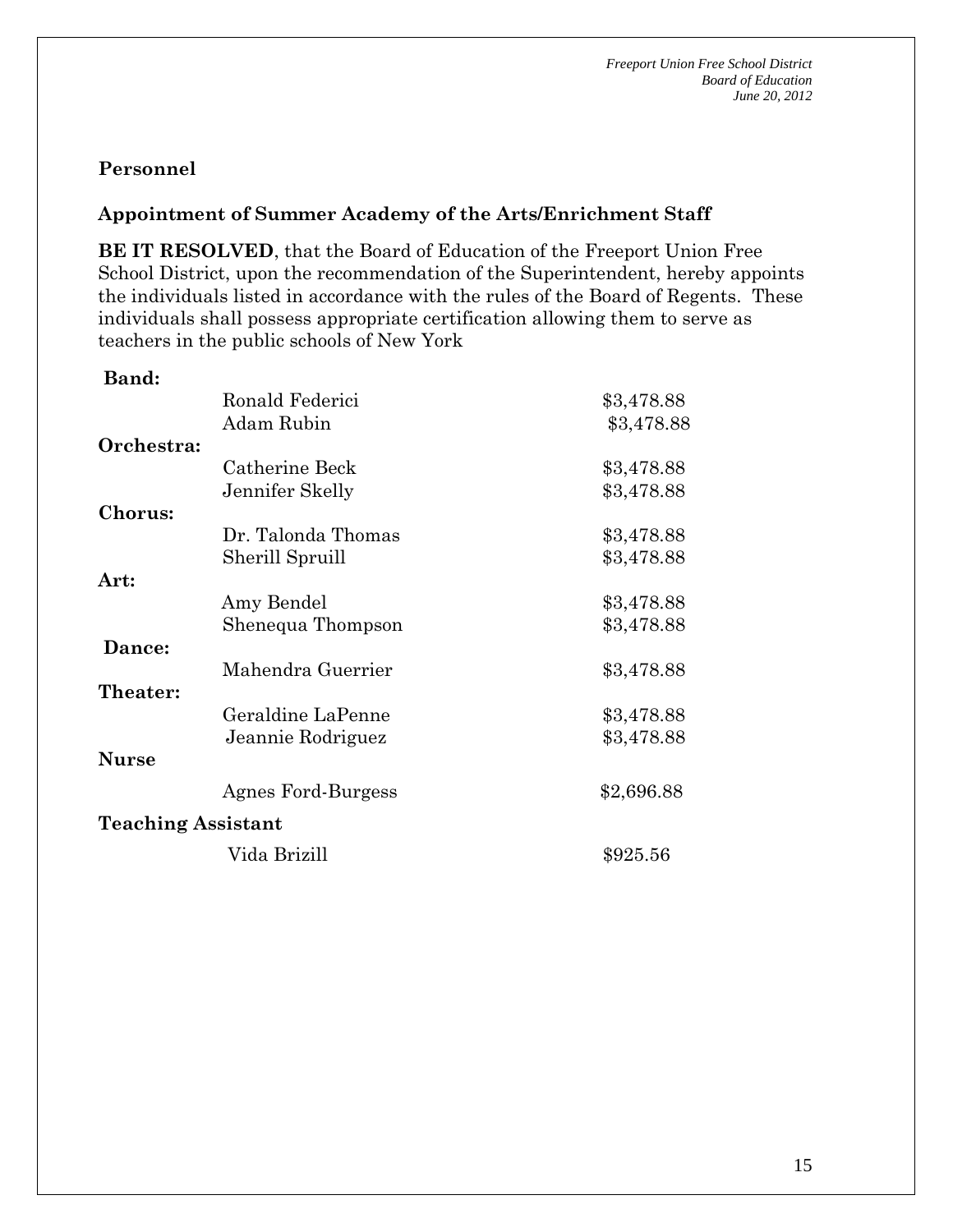## **Personnel**

#### **Appointment of Summer Academy of the Arts/Enrichment Staff**

**BE IT RESOLVED**, that the Board of Education of the Freeport Union Free School District, upon the recommendation of the Superintendent, hereby appoints the individuals listed in accordance with the rules of the Board of Regents. These individuals shall possess appropriate certification allowing them to serve as teachers in the public schools of New York

| Band:                     |                    |            |
|---------------------------|--------------------|------------|
|                           | Ronald Federici    | \$3,478.88 |
|                           | Adam Rubin         | \$3,478.88 |
| Orchestra:                |                    |            |
|                           | Catherine Beck     | \$3,478.88 |
|                           | Jennifer Skelly    | \$3,478.88 |
| <b>Chorus:</b>            |                    |            |
|                           | Dr. Talonda Thomas | \$3,478.88 |
|                           | Sherill Spruill    | \$3,478.88 |
| Art:                      |                    |            |
|                           | Amy Bendel         | \$3,478.88 |
|                           | Shenequa Thompson  | \$3,478.88 |
| Dance:                    |                    |            |
|                           | Mahendra Guerrier  | \$3,478.88 |
| Theater:                  |                    |            |
|                           | Geraldine LaPenne  | \$3,478.88 |
|                           | Jeannie Rodriguez  | \$3,478.88 |
| <b>Nurse</b>              |                    |            |
|                           | Agnes Ford-Burgess | \$2,696.88 |
| <b>Teaching Assistant</b> |                    |            |
|                           | Vida Brizill       | \$925.56   |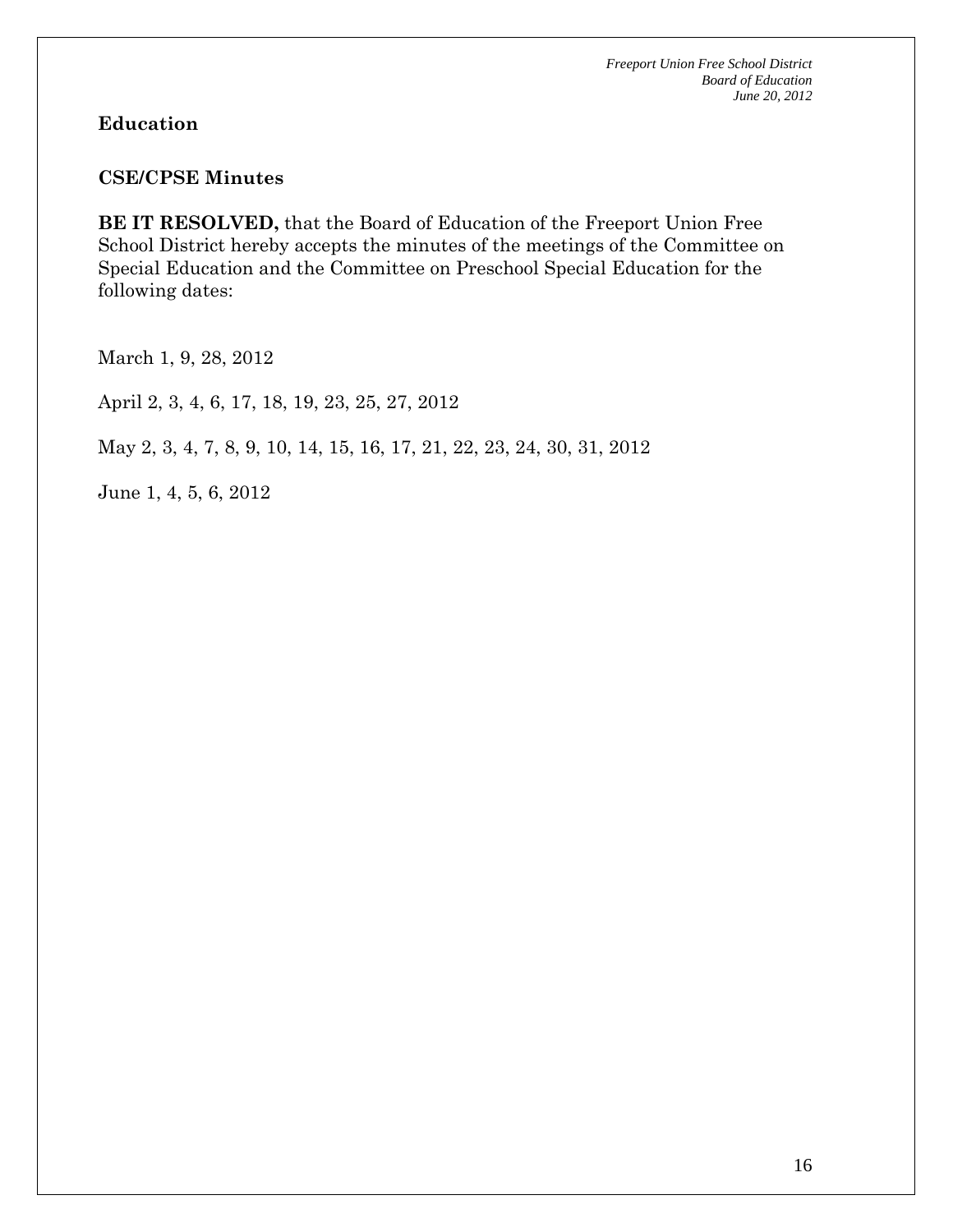#### **Education**

#### **CSE/CPSE Minutes**

**BE IT RESOLVED,** that the Board of Education of the Freeport Union Free School District hereby accepts the minutes of the meetings of the Committee on Special Education and the Committee on Preschool Special Education for the following dates:

March 1, 9, 28, 2012

April 2, 3, 4, 6, 17, 18, 19, 23, 25, 27, 2012

May 2, 3, 4, 7, 8, 9, 10, 14, 15, 16, 17, 21, 22, 23, 24, 30, 31, 2012

June 1, 4, 5, 6, 2012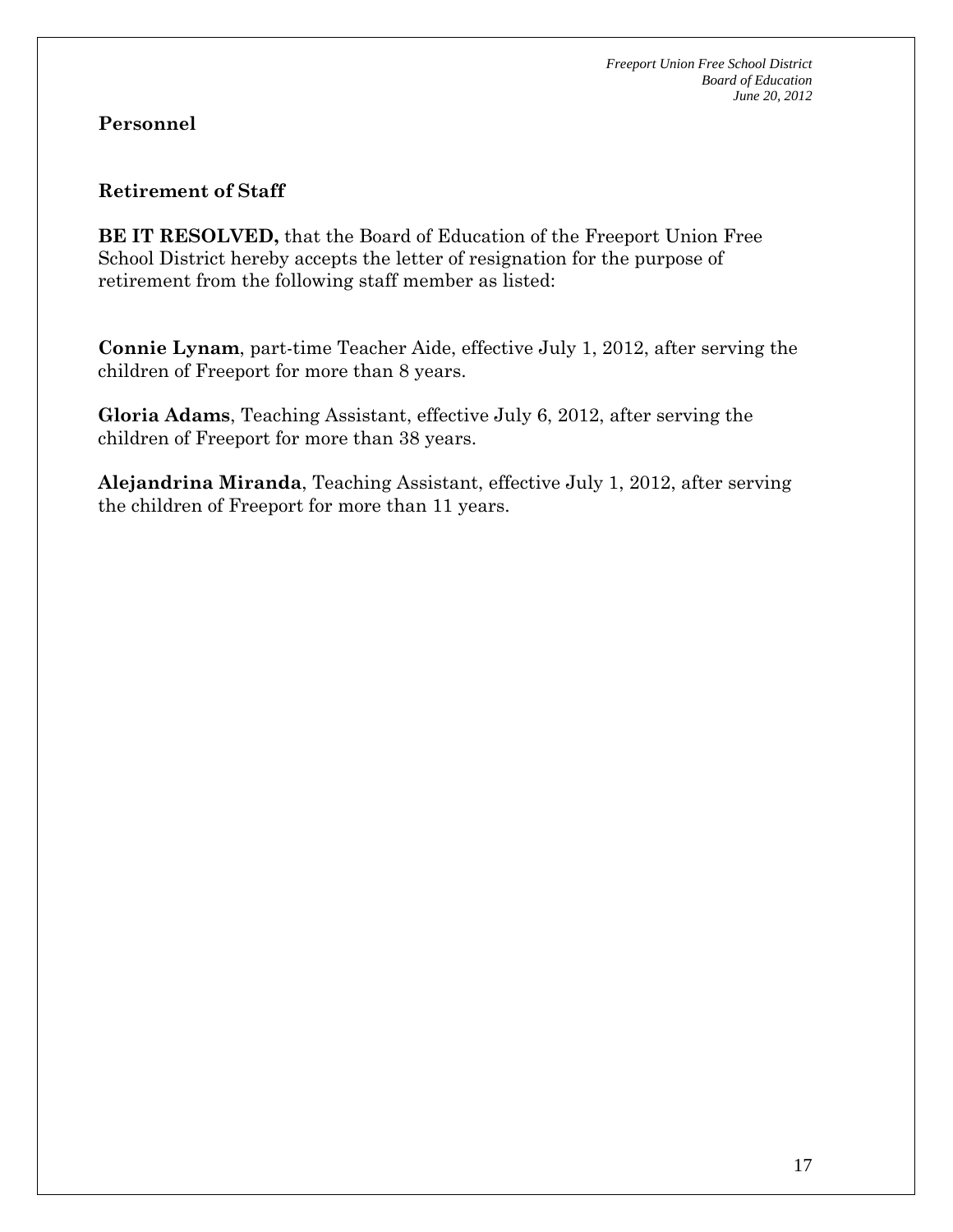## **Personnel**

#### **Retirement of Staff**

**BE IT RESOLVED,** that the Board of Education of the Freeport Union Free School District hereby accepts the letter of resignation for the purpose of retirement from the following staff member as listed:

**Connie Lynam**, part-time Teacher Aide, effective July 1, 2012, after serving the children of Freeport for more than 8 years.

**Gloria Adams**, Teaching Assistant, effective July 6, 2012, after serving the children of Freeport for more than 38 years.

**Alejandrina Miranda**, Teaching Assistant, effective July 1, 2012, after serving the children of Freeport for more than 11 years.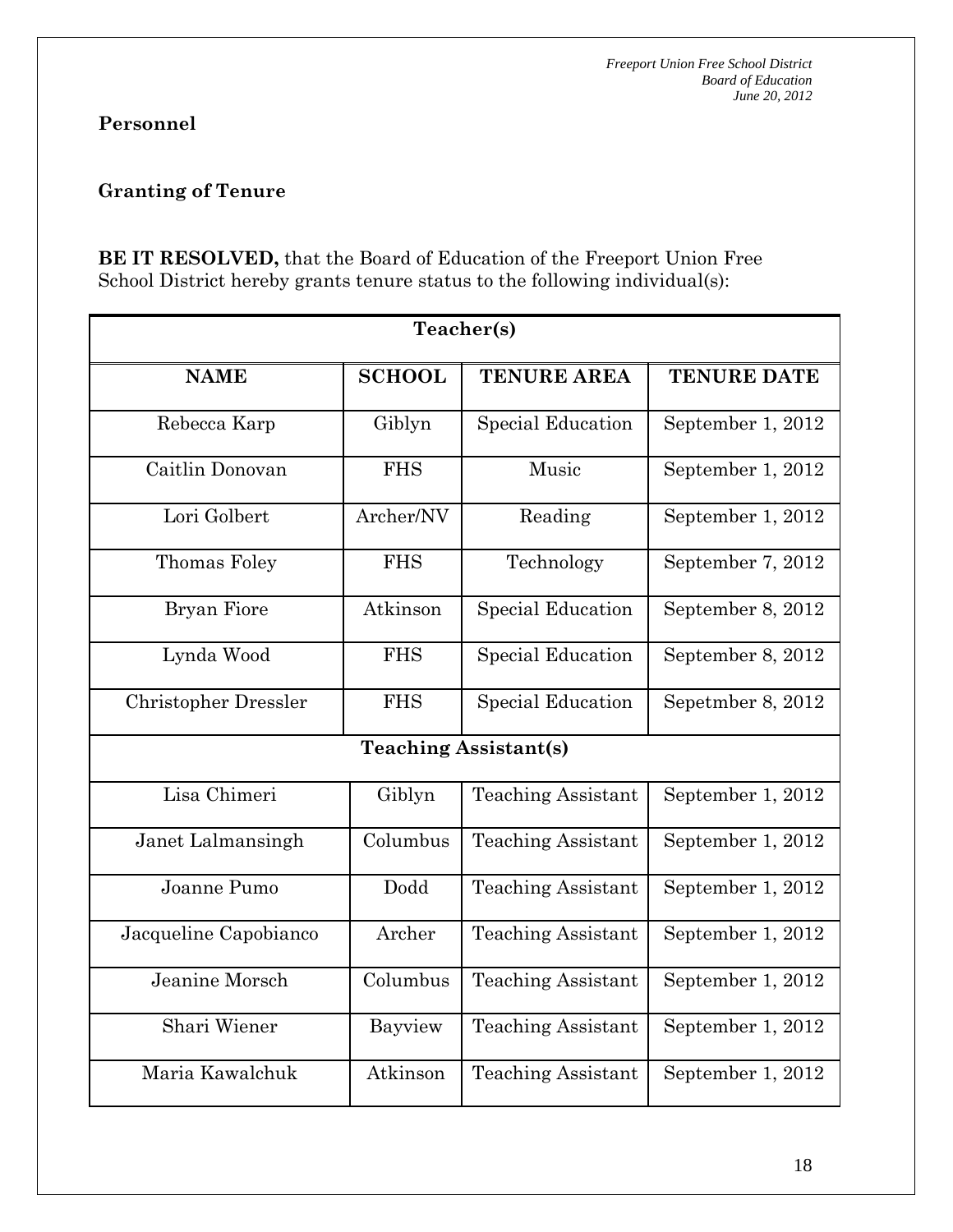# **Personnel**

# **Granting of Tenure**

**BE IT RESOLVED,** that the Board of Education of the Freeport Union Free School District hereby grants tenure status to the following individual(s):

| Teacher(s)                  |               |                              |                    |  |
|-----------------------------|---------------|------------------------------|--------------------|--|
| <b>NAME</b>                 | <b>SCHOOL</b> | <b>TENURE AREA</b>           | <b>TENURE DATE</b> |  |
| Rebecca Karp                | Giblyn        | <b>Special Education</b>     | September 1, 2012  |  |
| Caitlin Donovan             | <b>FHS</b>    | Music                        | September 1, 2012  |  |
| Lori Golbert                | Archer/NV     | Reading                      | September 1, 2012  |  |
| Thomas Foley                | <b>FHS</b>    | Technology                   | September 7, 2012  |  |
| <b>Bryan Fiore</b>          | Atkinson      | <b>Special Education</b>     | September 8, 2012  |  |
| Lynda Wood                  | <b>FHS</b>    | <b>Special Education</b>     | September 8, 2012  |  |
| <b>Christopher Dressler</b> | <b>FHS</b>    | <b>Special Education</b>     | Sepetmber 8, 2012  |  |
|                             |               | <b>Teaching Assistant(s)</b> |                    |  |
| Lisa Chimeri                | Giblyn        | <b>Teaching Assistant</b>    | September 1, 2012  |  |
| Janet Lalmansingh           | Columbus      | <b>Teaching Assistant</b>    | September 1, 2012  |  |
| Joanne Pumo                 | Dodd          | <b>Teaching Assistant</b>    | September 1, 2012  |  |
| Jacqueline Capobianco       | Archer        | <b>Teaching Assistant</b>    | September 1, 2012  |  |
| Jeanine Morsch              | Columbus      | <b>Teaching Assistant</b>    | September 1, 2012  |  |
| Shari Wiener                | Bayview       | <b>Teaching Assistant</b>    | September 1, 2012  |  |
| Maria Kawalchuk             | Atkinson      | <b>Teaching Assistant</b>    | September 1, 2012  |  |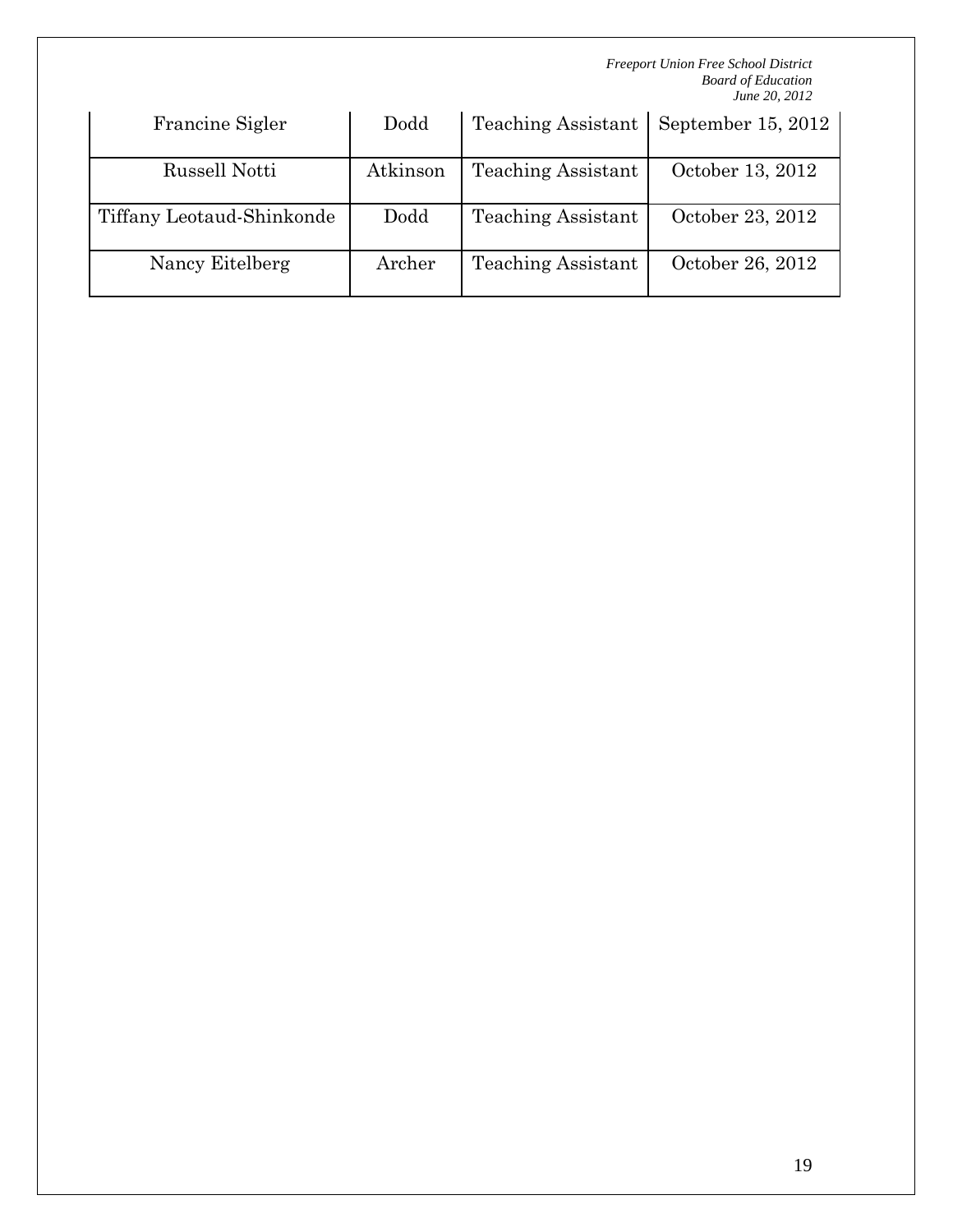| Francine Sigler           | Dodd     | <b>Teaching Assistant</b> | September 15, 2012 |
|---------------------------|----------|---------------------------|--------------------|
| Russell Notti             | Atkinson | <b>Teaching Assistant</b> | October 13, 2012   |
| Tiffany Leotaud-Shinkonde | Dodd     | <b>Teaching Assistant</b> | October 23, 2012   |
| Nancy Eitelberg           | Archer   | <b>Teaching Assistant</b> | October 26, 2012   |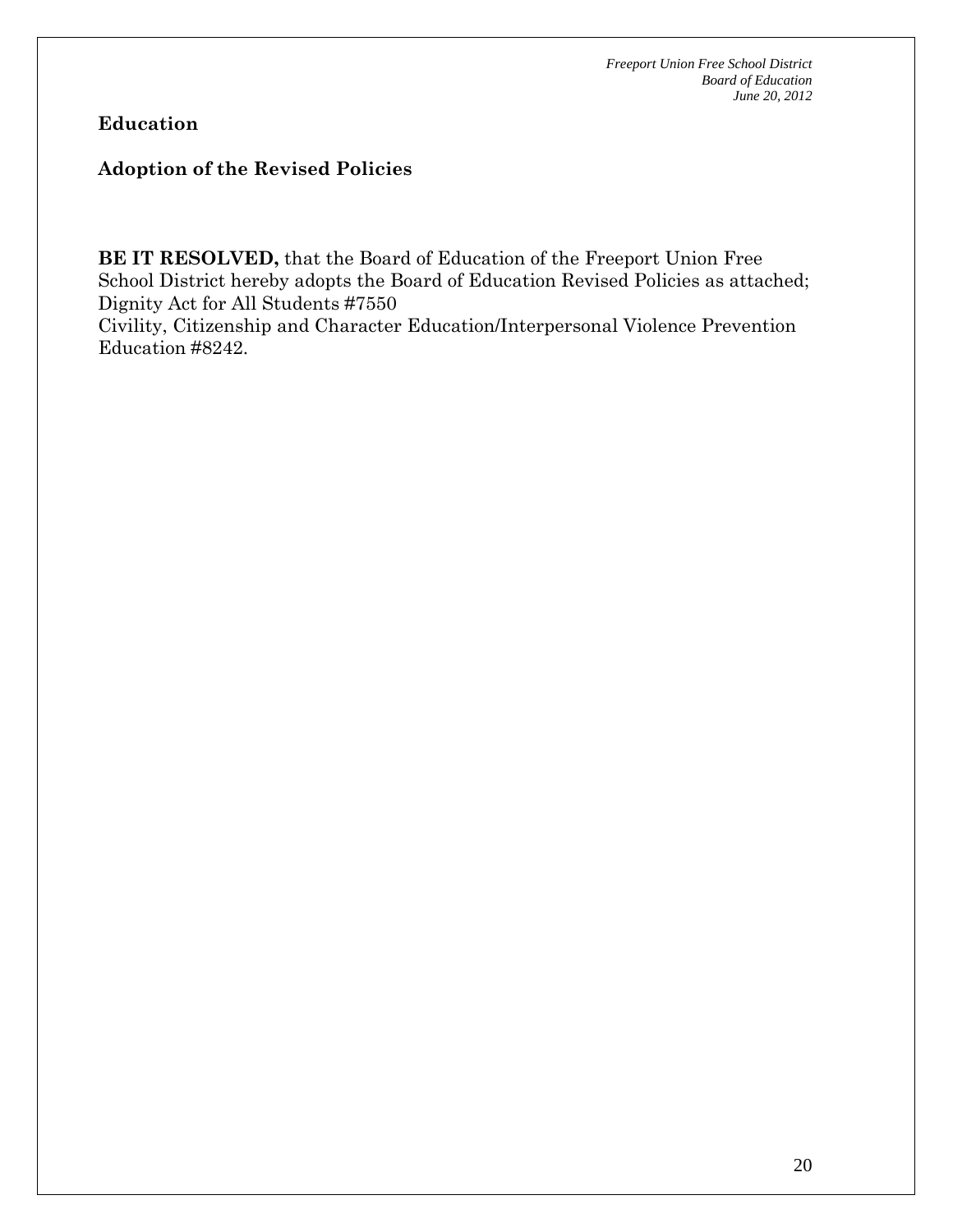# **Education**

#### **Adoption of the Revised Policies**

**BE IT RESOLVED,** that the Board of Education of the Freeport Union Free School District hereby adopts the Board of Education Revised Policies as attached; Dignity Act for All Students #7550

Civility, Citizenship and Character Education/Interpersonal Violence Prevention Education #8242.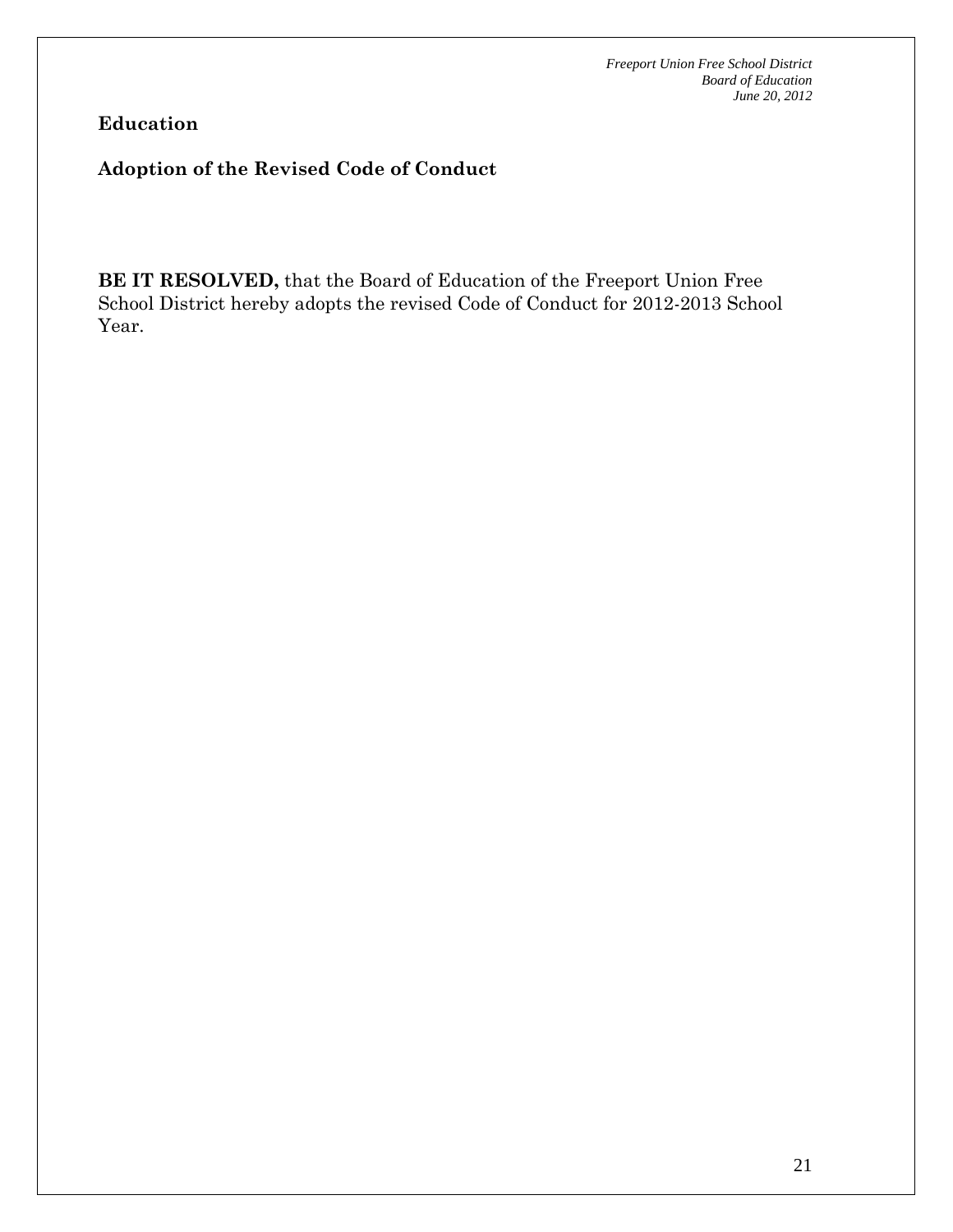**Education** 

## **Adoption of the Revised Code of Conduct**

**BE IT RESOLVED,** that the Board of Education of the Freeport Union Free School District hereby adopts the revised Code of Conduct for 2012-2013 School Year.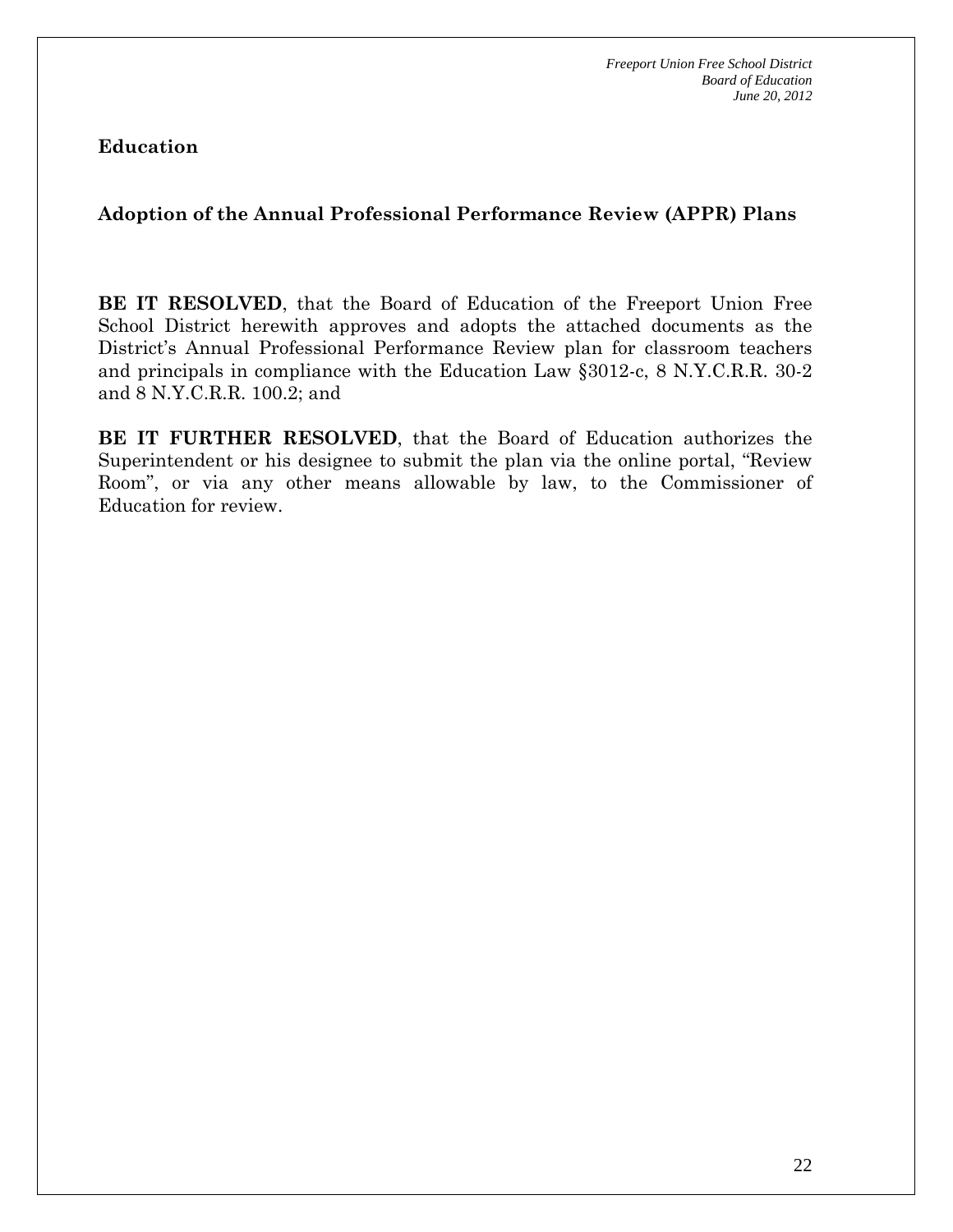**Education** 

### **Adoption of the Annual Professional Performance Review (APPR) Plans**

**BE IT RESOLVED**, that the Board of Education of the Freeport Union Free School District herewith approves and adopts the attached documents as the District's Annual Professional Performance Review plan for classroom teachers and principals in compliance with the Education Law §3012-c, 8 N.Y.C.R.R. 30-2 and 8 N.Y.C.R.R. 100.2; and

**BE IT FURTHER RESOLVED**, that the Board of Education authorizes the Superintendent or his designee to submit the plan via the online portal, "Review Room", or via any other means allowable by law, to the Commissioner of Education for review.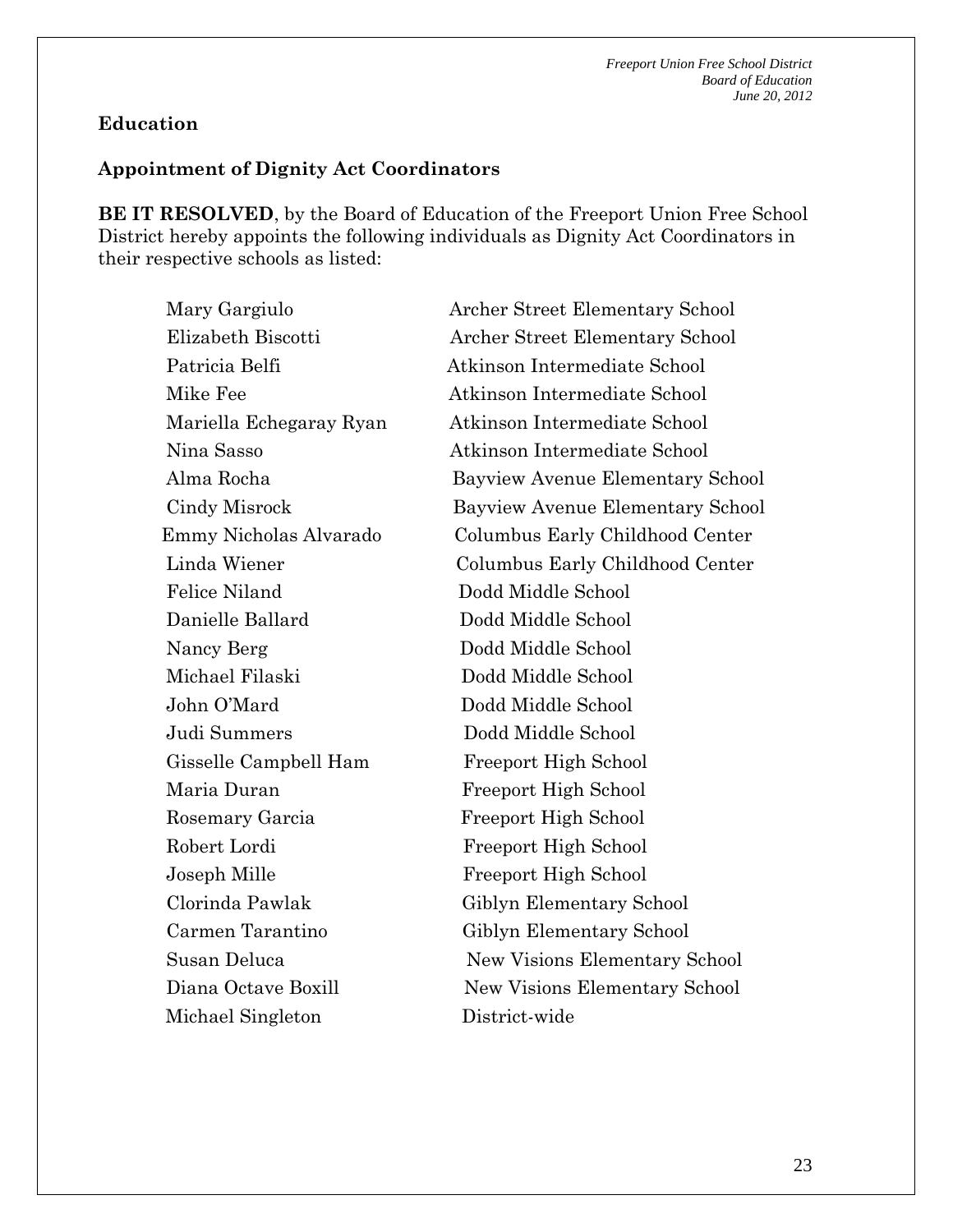#### **Education**

#### **Appointment of Dignity Act Coordinators**

**BE IT RESOLVED**, by the Board of Education of the Freeport Union Free School District hereby appoints the following individuals as Dignity Act Coordinators in their respective schools as listed:

Mary Gargiulo **Archer Street Elementary School**  Elizabeth Biscotti Archer Street Elementary School Patricia Belfi Atkinson Intermediate School Mike Fee Atkinson Intermediate School Mariella Echegaray Ryan Atkinson Intermediate School Nina Sasso Atkinson Intermediate School Alma Rocha Bayview Avenue Elementary School Cindy Misrock Bayview Avenue Elementary School Emmy Nicholas Alvarado Columbus Early Childhood Center Linda Wiener Columbus Early Childhood Center Felice Niland Dodd Middle School Danielle Ballard Dodd Middle School Nancy Berg Dodd Middle School Michael Filaski Dodd Middle School John O'Mard Dodd Middle School Judi Summers Dodd Middle School Gisselle Campbell Ham Freeport High School Maria Duran Freeport High School Rosemary Garcia Freeport High School Robert Lordi Freeport High School Joseph Mille Freeport High School Clorinda Pawlak Giblyn Elementary School Carmen Tarantino Giblyn Elementary School Susan Deluca New Visions Elementary School Diana Octave Boxill New Visions Elementary School Michael Singleton District-wide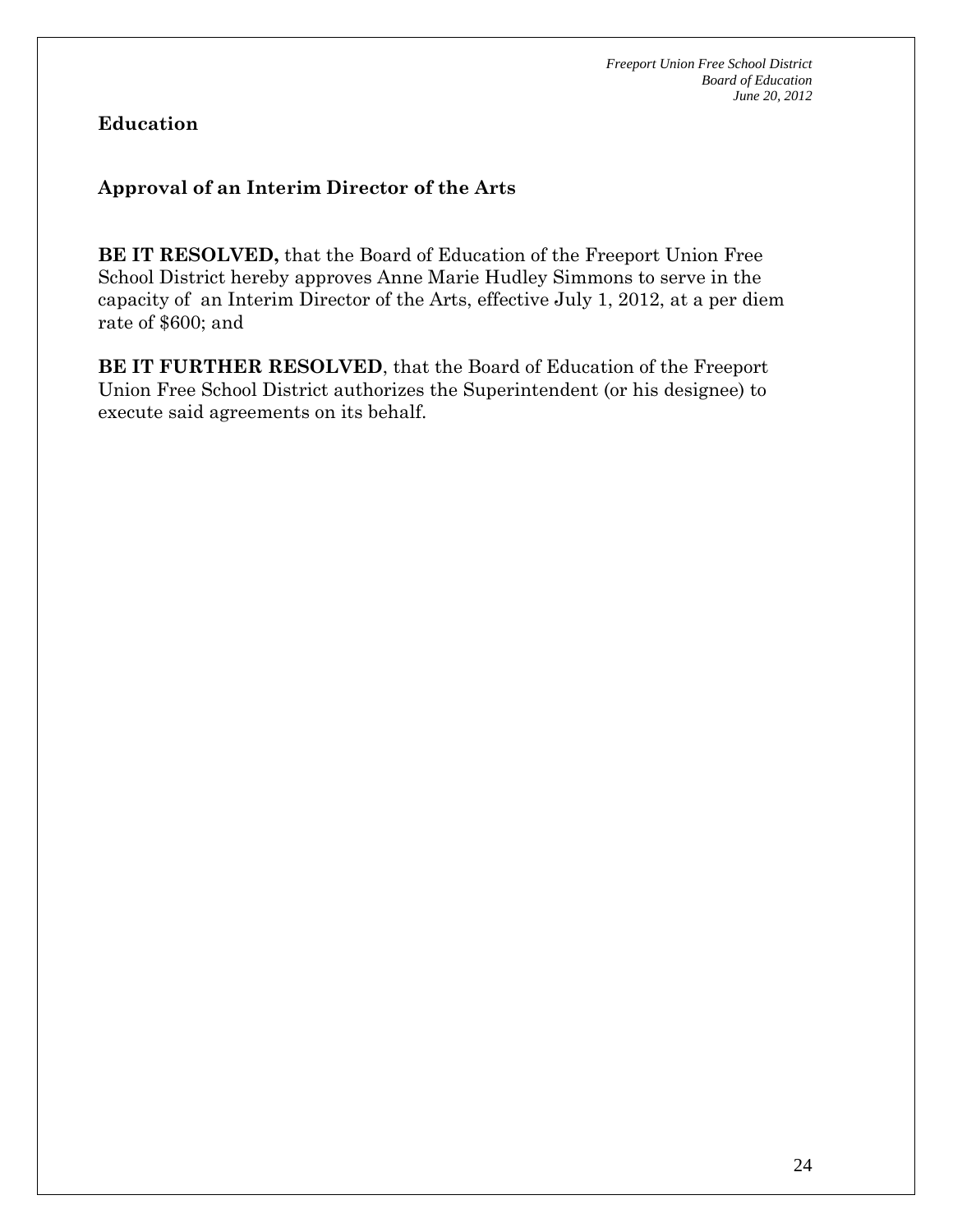**Education** 

# **Approval of an Interim Director of the Arts**

**BE IT RESOLVED,** that the Board of Education of the Freeport Union Free School District hereby approves Anne Marie Hudley Simmons to serve in the capacity of an Interim Director of the Arts, effective July 1, 2012, at a per diem rate of \$600; and

**BE IT FURTHER RESOLVED**, that the Board of Education of the Freeport Union Free School District authorizes the Superintendent (or his designee) to execute said agreements on its behalf.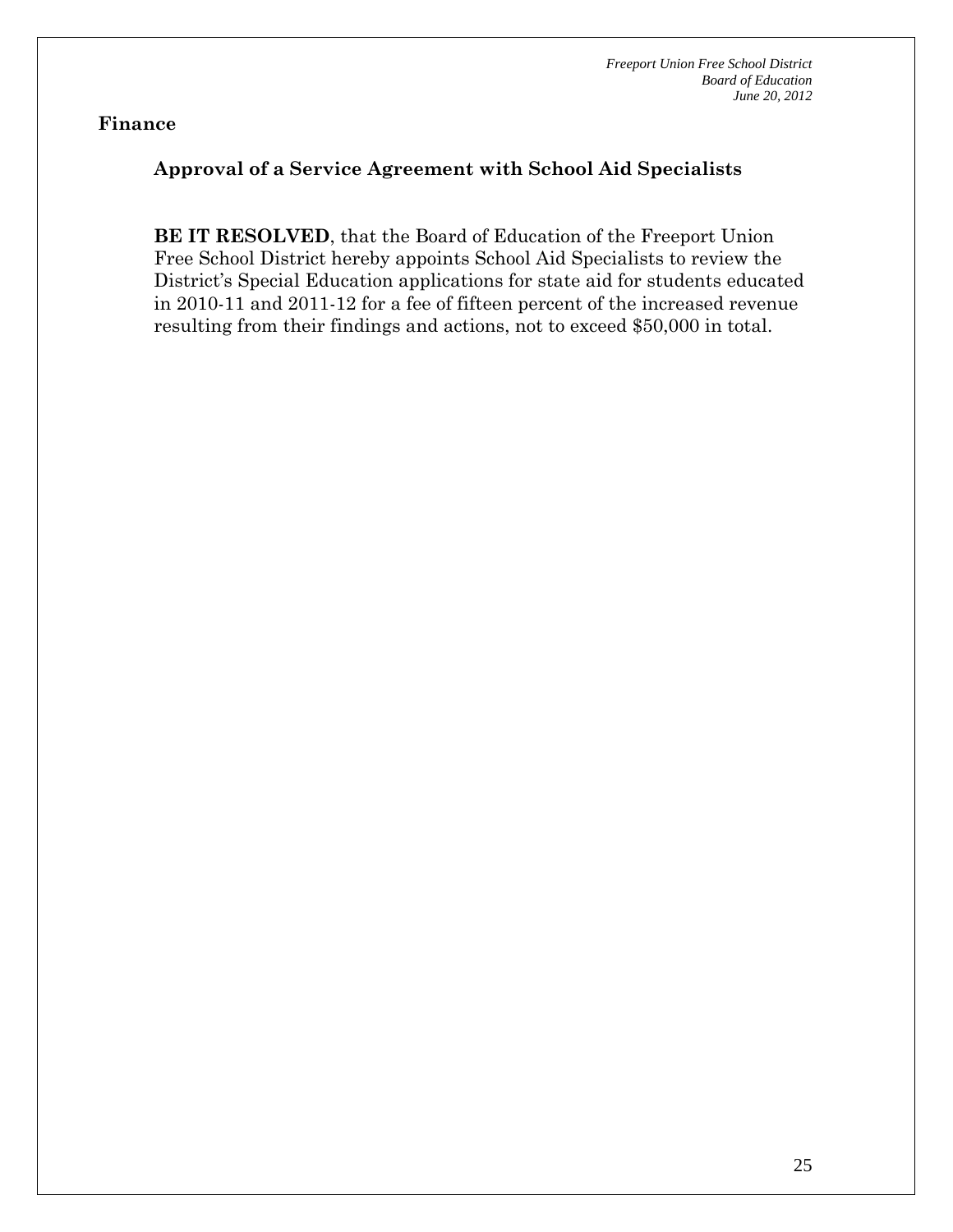### **Approval of a Service Agreement with School Aid Specialists**

**BE IT RESOLVED**, that the Board of Education of the Freeport Union Free School District hereby appoints School Aid Specialists to review the District's Special Education applications for state aid for students educated in 2010-11 and 2011-12 for a fee of fifteen percent of the increased revenue resulting from their findings and actions, not to exceed \$50,000 in total.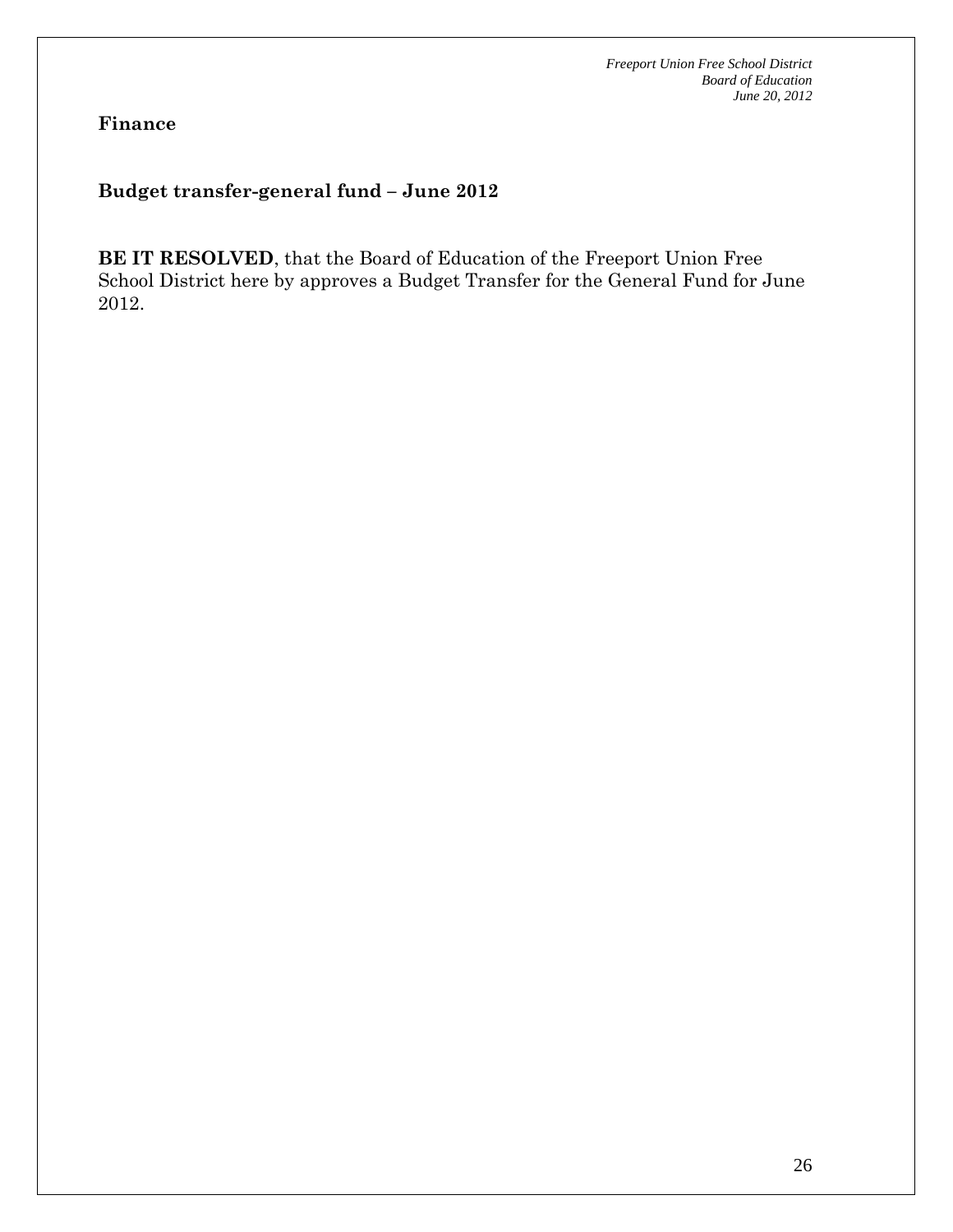**Finance** 

#### **Budget transfer-general fund – June 2012**

**BE IT RESOLVED**, that the Board of Education of the Freeport Union Free School District here by approves a Budget Transfer for the General Fund for June 2012.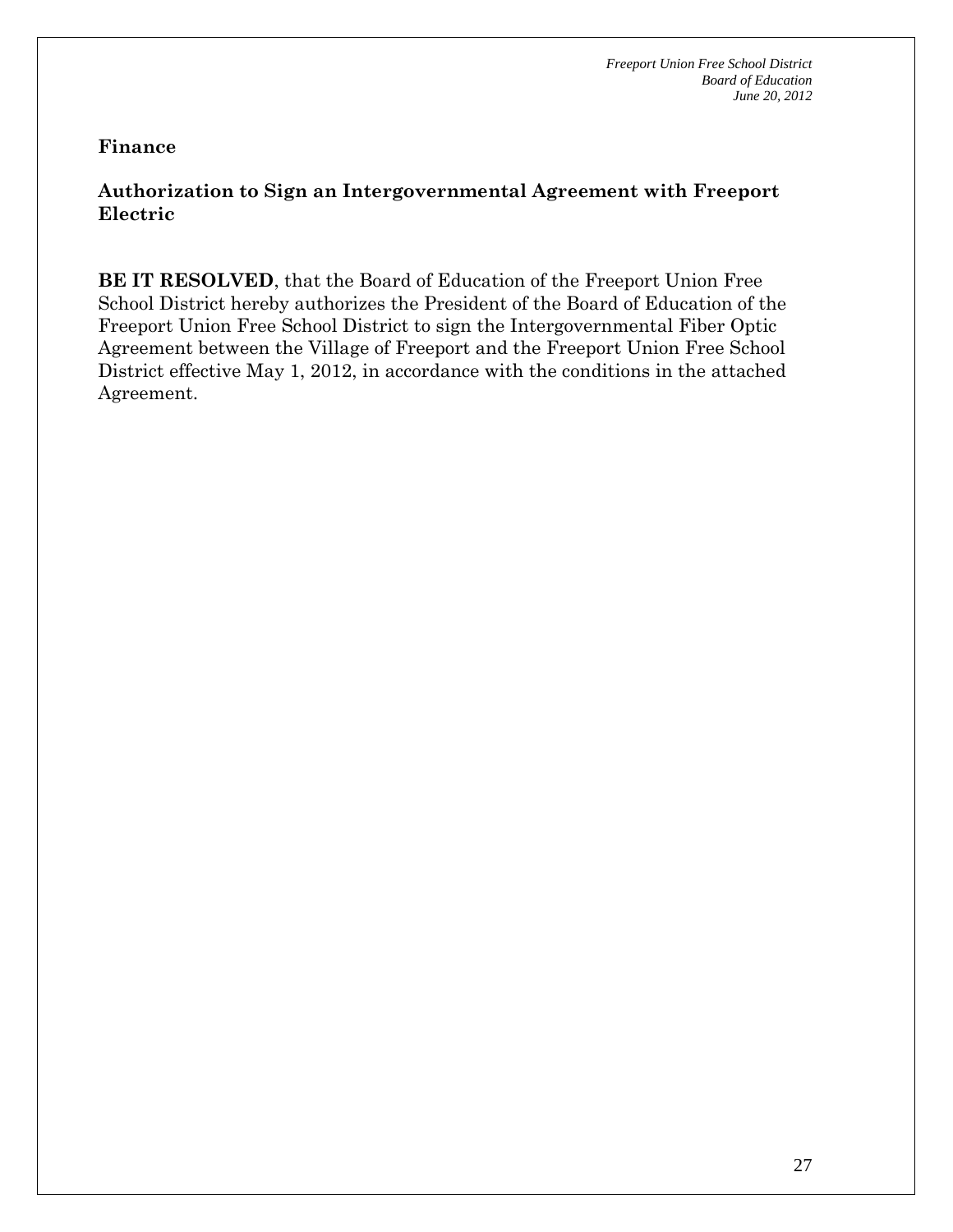# **Authorization to Sign an Intergovernmental Agreement with Freeport Electric**

**BE IT RESOLVED**, that the Board of Education of the Freeport Union Free School District hereby authorizes the President of the Board of Education of the Freeport Union Free School District to sign the Intergovernmental Fiber Optic Agreement between the Village of Freeport and the Freeport Union Free School District effective May 1, 2012, in accordance with the conditions in the attached Agreement.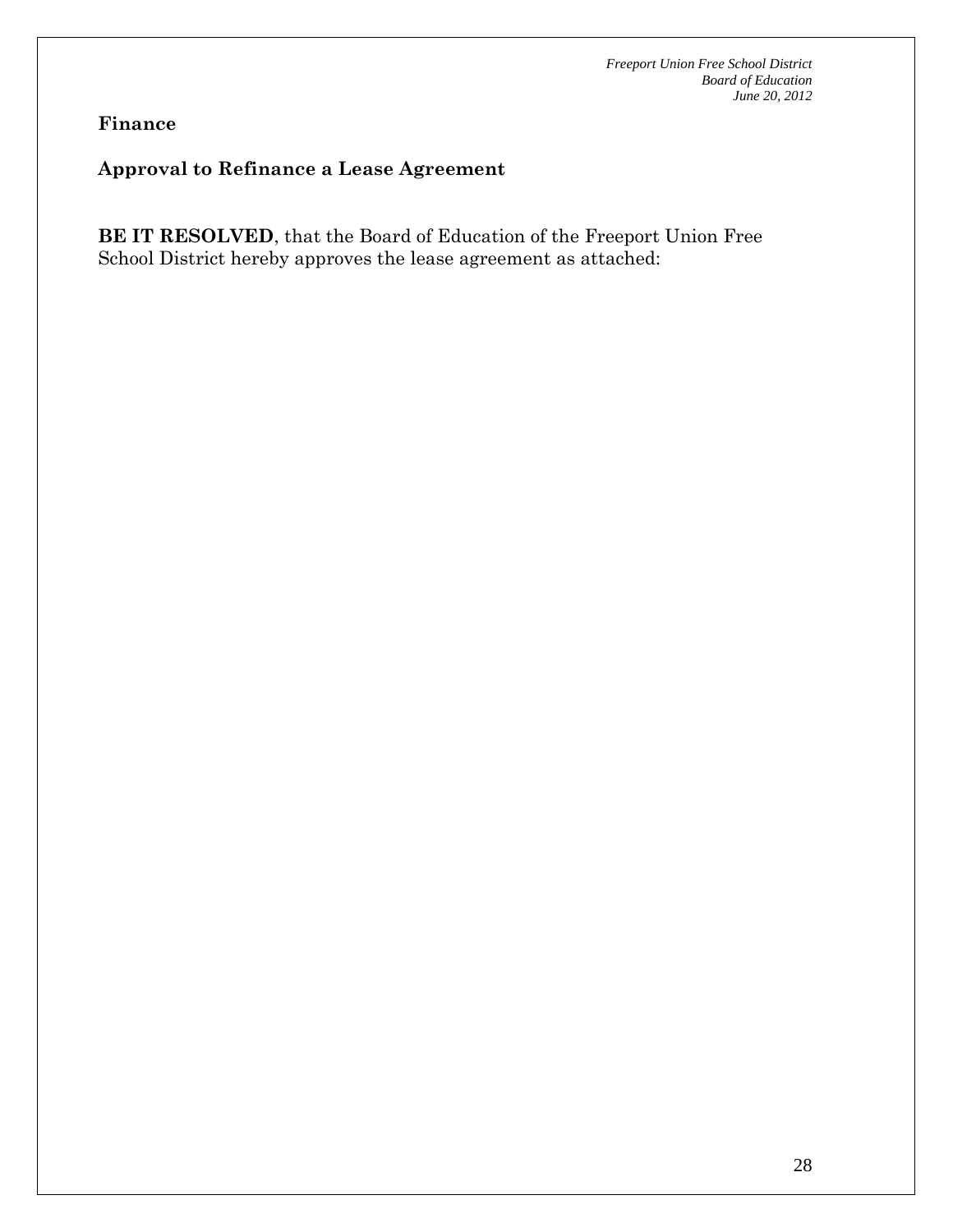## **Approval to Refinance a Lease Agreement**

**BE IT RESOLVED**, that the Board of Education of the Freeport Union Free School District hereby approves the lease agreement as attached: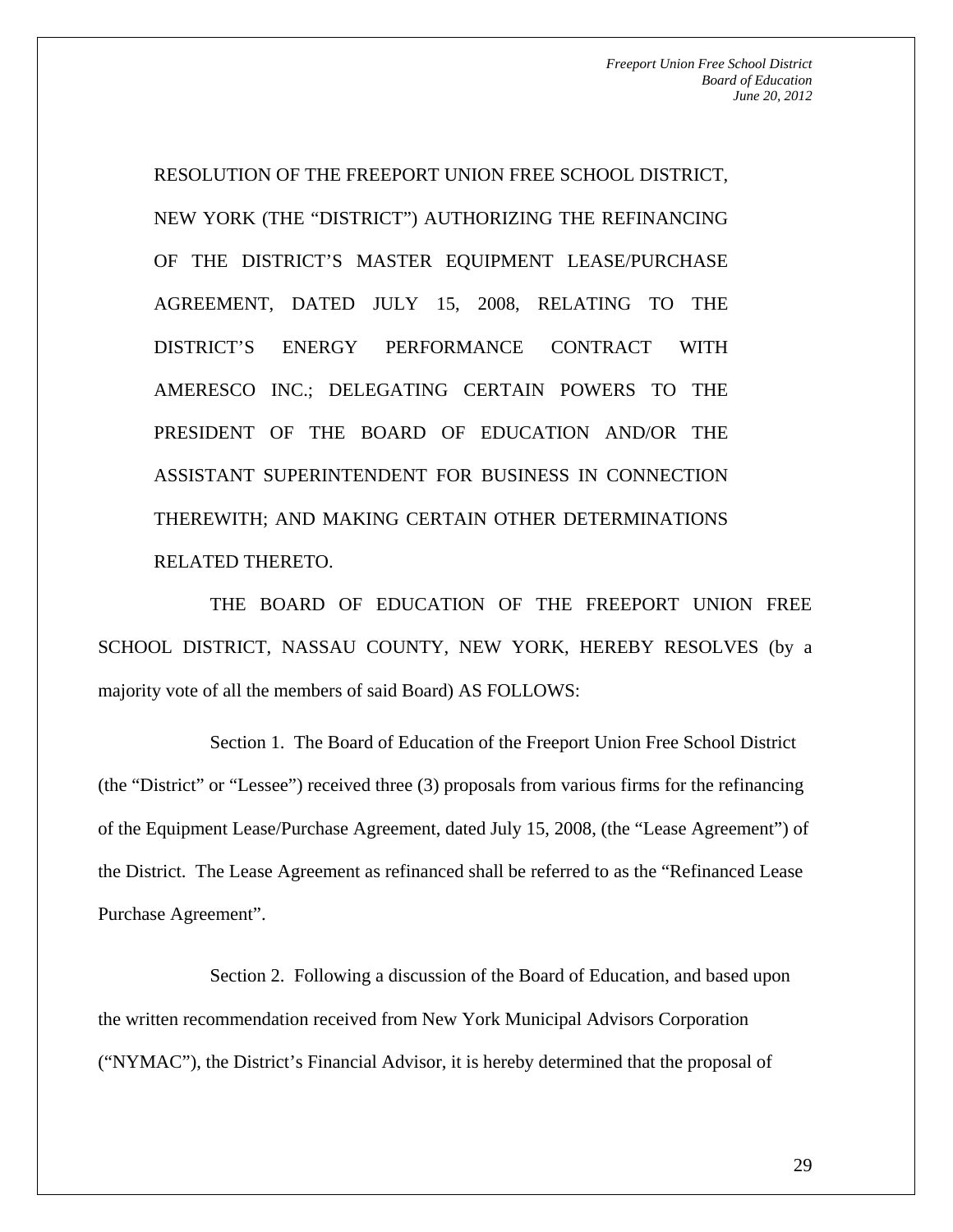RESOLUTION OF THE FREEPORT UNION FREE SCHOOL DISTRICT, NEW YORK (THE "DISTRICT") AUTHORIZING THE REFINANCING OF THE DISTRICT'S MASTER EQUIPMENT LEASE/PURCHASE AGREEMENT, DATED JULY 15, 2008, RELATING TO THE DISTRICT'S ENERGY PERFORMANCE CONTRACT WITH AMERESCO INC.; DELEGATING CERTAIN POWERS TO THE PRESIDENT OF THE BOARD OF EDUCATION AND/OR THE ASSISTANT SUPERINTENDENT FOR BUSINESS IN CONNECTION THEREWITH; AND MAKING CERTAIN OTHER DETERMINATIONS RELATED THERETO.

THE BOARD OF EDUCATION OF THE FREEPORT UNION FREE SCHOOL DISTRICT, NASSAU COUNTY, NEW YORK, HEREBY RESOLVES (by a majority vote of all the members of said Board) AS FOLLOWS:

Section 1. The Board of Education of the Freeport Union Free School District (the "District" or "Lessee") received three (3) proposals from various firms for the refinancing of the Equipment Lease/Purchase Agreement, dated July 15, 2008, (the "Lease Agreement") of the District. The Lease Agreement as refinanced shall be referred to as the "Refinanced Lease Purchase Agreement".

Section 2. Following a discussion of the Board of Education, and based upon the written recommendation received from New York Municipal Advisors Corporation ("NYMAC"), the District's Financial Advisor, it is hereby determined that the proposal of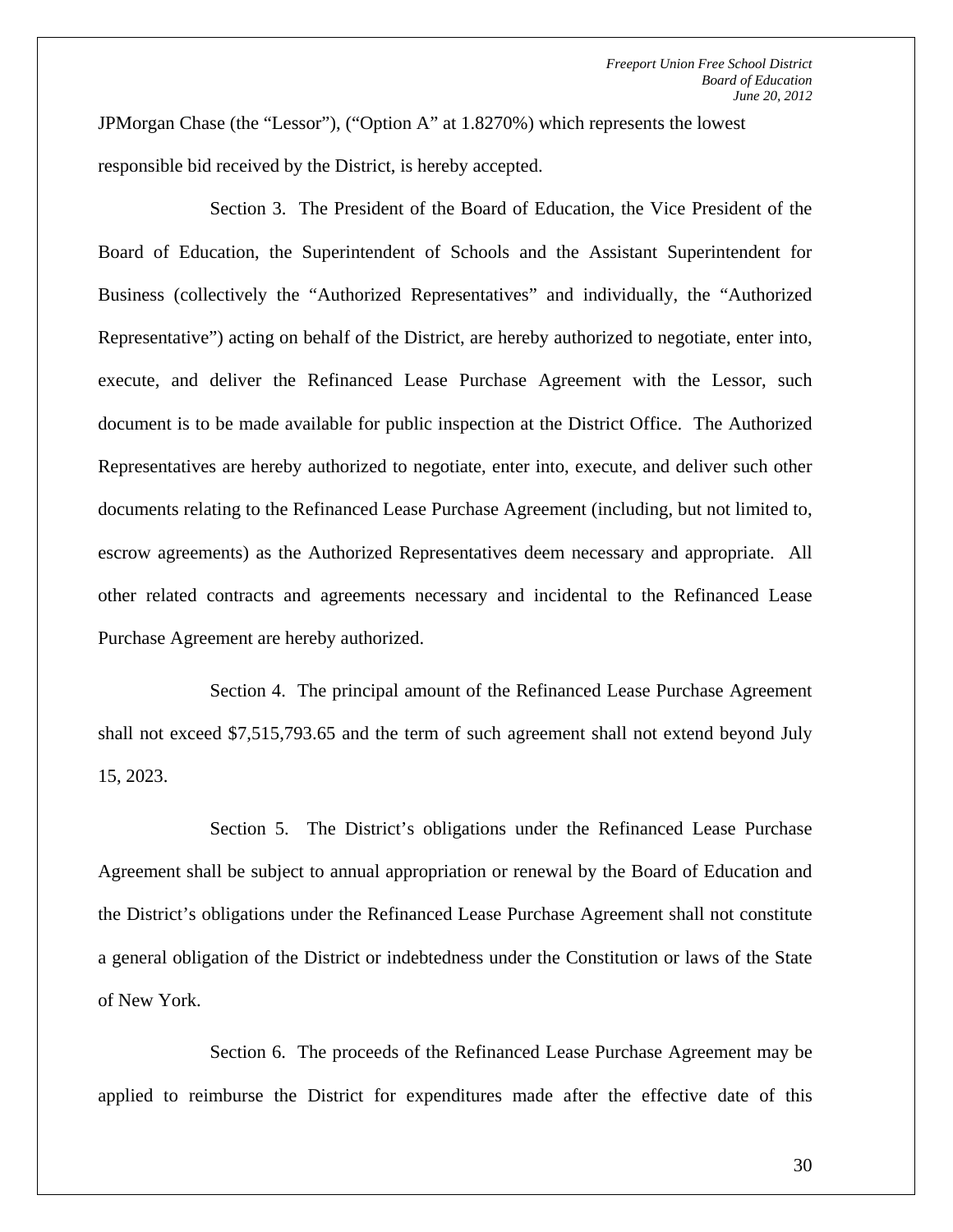JPMorgan Chase (the "Lessor"), ("Option A" at 1.8270%) which represents the lowest responsible bid received by the District, is hereby accepted.

Section 3. The President of the Board of Education, the Vice President of the Board of Education, the Superintendent of Schools and the Assistant Superintendent for Business (collectively the "Authorized Representatives" and individually, the "Authorized Representative") acting on behalf of the District, are hereby authorized to negotiate, enter into, execute, and deliver the Refinanced Lease Purchase Agreement with the Lessor, such document is to be made available for public inspection at the District Office. The Authorized Representatives are hereby authorized to negotiate, enter into, execute, and deliver such other documents relating to the Refinanced Lease Purchase Agreement (including, but not limited to, escrow agreements) as the Authorized Representatives deem necessary and appropriate. All other related contracts and agreements necessary and incidental to the Refinanced Lease Purchase Agreement are hereby authorized.

Section 4. The principal amount of the Refinanced Lease Purchase Agreement shall not exceed \$7,515,793.65 and the term of such agreement shall not extend beyond July 15, 2023.

Section 5. The District's obligations under the Refinanced Lease Purchase Agreement shall be subject to annual appropriation or renewal by the Board of Education and the District's obligations under the Refinanced Lease Purchase Agreement shall not constitute a general obligation of the District or indebtedness under the Constitution or laws of the State of New York.

Section 6. The proceeds of the Refinanced Lease Purchase Agreement may be applied to reimburse the District for expenditures made after the effective date of this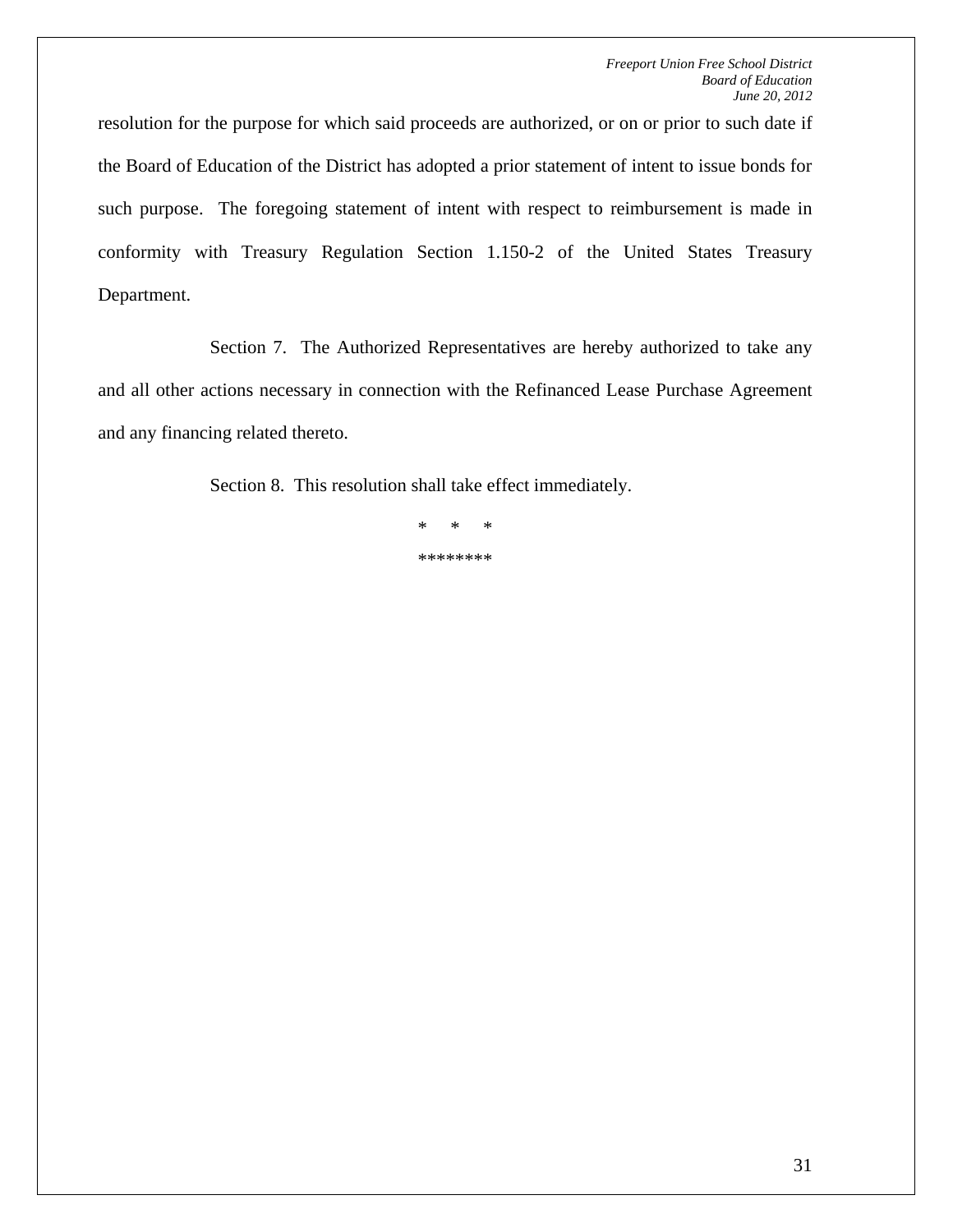resolution for the purpose for which said proceeds are authorized, or on or prior to such date if the Board of Education of the District has adopted a prior statement of intent to issue bonds for such purpose. The foregoing statement of intent with respect to reimbursement is made in conformity with Treasury Regulation Section 1.150-2 of the United States Treasury Department.

Section 7. The Authorized Representatives are hereby authorized to take any and all other actions necessary in connection with the Refinanced Lease Purchase Agreement and any financing related thereto.

Section 8. This resolution shall take effect immediately.

\* \* \* \*\*\*\*\*\*\*\*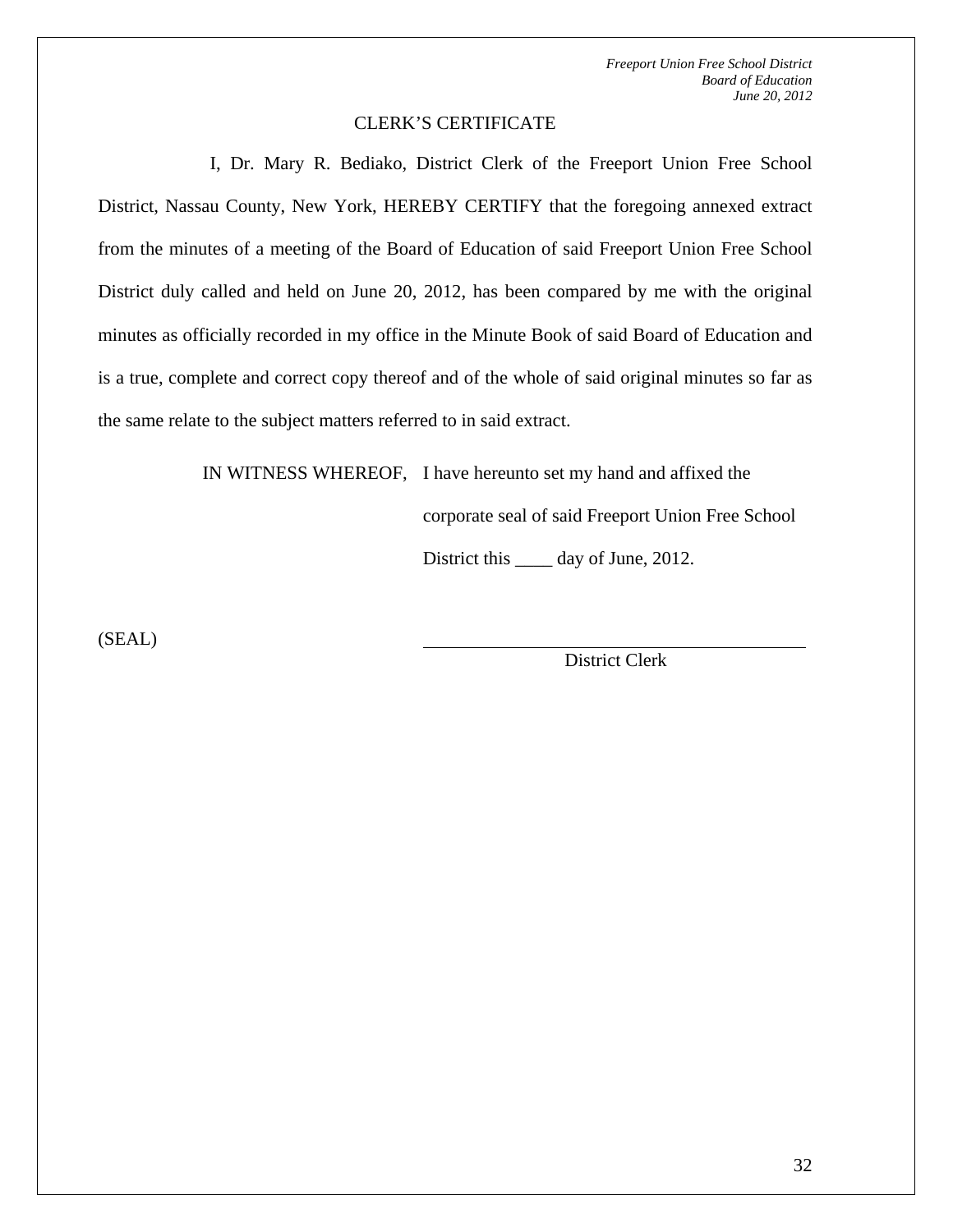#### CLERK'S CERTIFICATE

I, Dr. Mary R. Bediako, District Clerk of the Freeport Union Free School District, Nassau County, New York, HEREBY CERTIFY that the foregoing annexed extract from the minutes of a meeting of the Board of Education of said Freeport Union Free School District duly called and held on June 20, 2012, has been compared by me with the original minutes as officially recorded in my office in the Minute Book of said Board of Education and is a true, complete and correct copy thereof and of the whole of said original minutes so far as the same relate to the subject matters referred to in said extract.

IN WITNESS WHEREOF, I have hereunto set my hand and affixed the

corporate seal of said Freeport Union Free School

District this \_\_\_\_\_ day of June, 2012.

(SEAL)

District Clerk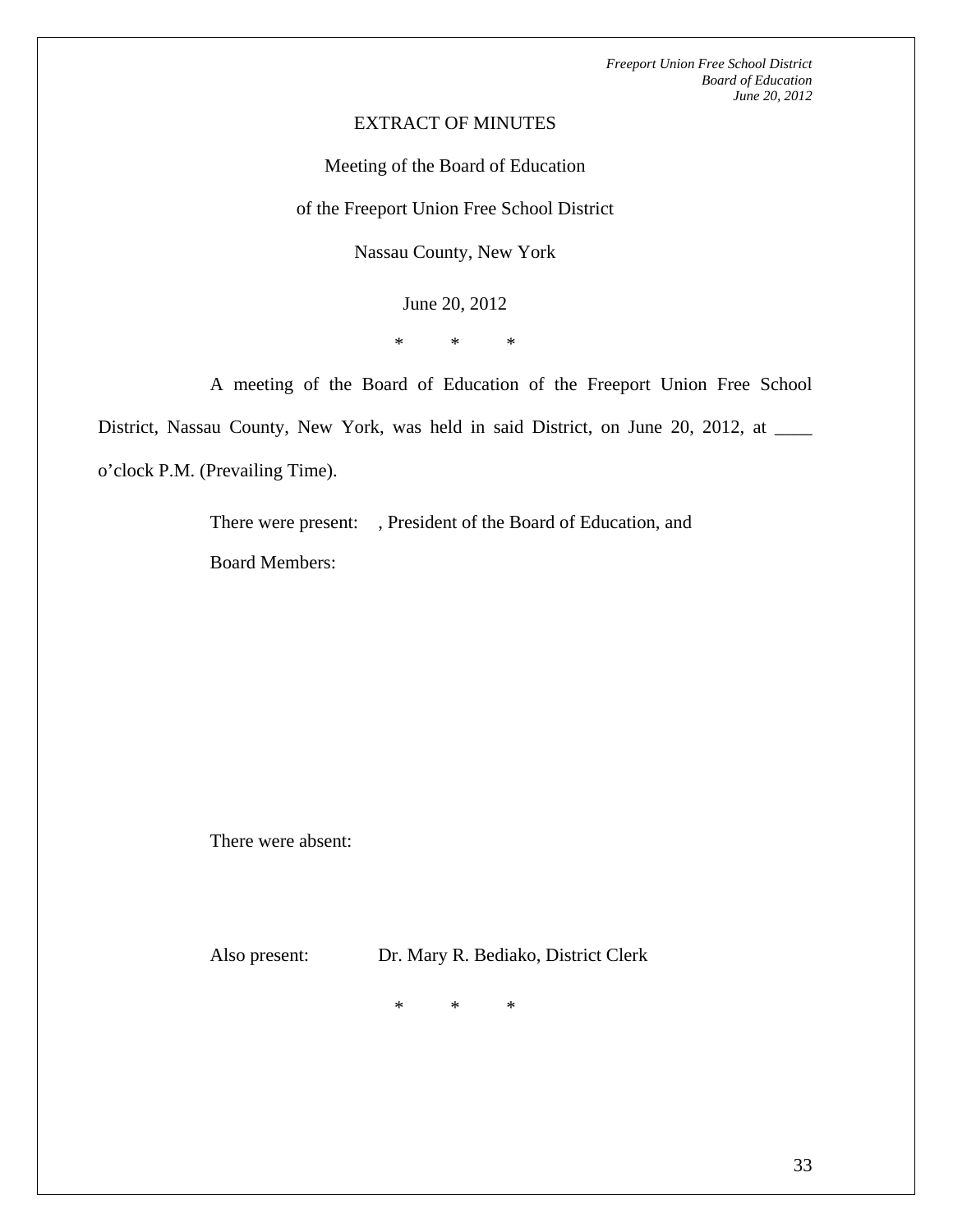#### EXTRACT OF MINUTES

Meeting of the Board of Education

of the Freeport Union Free School District

Nassau County, New York

June 20, 2012

\* \* \*

A meeting of the Board of Education of the Freeport Union Free School

District, Nassau County, New York, was held in said District, on June 20, 2012, at \_\_\_\_ o'clock P.M. (Prevailing Time).

There were present: , President of the Board of Education, and

Board Members:

There were absent:

Also present: Dr. Mary R. Bediako, District Clerk

\* \* \*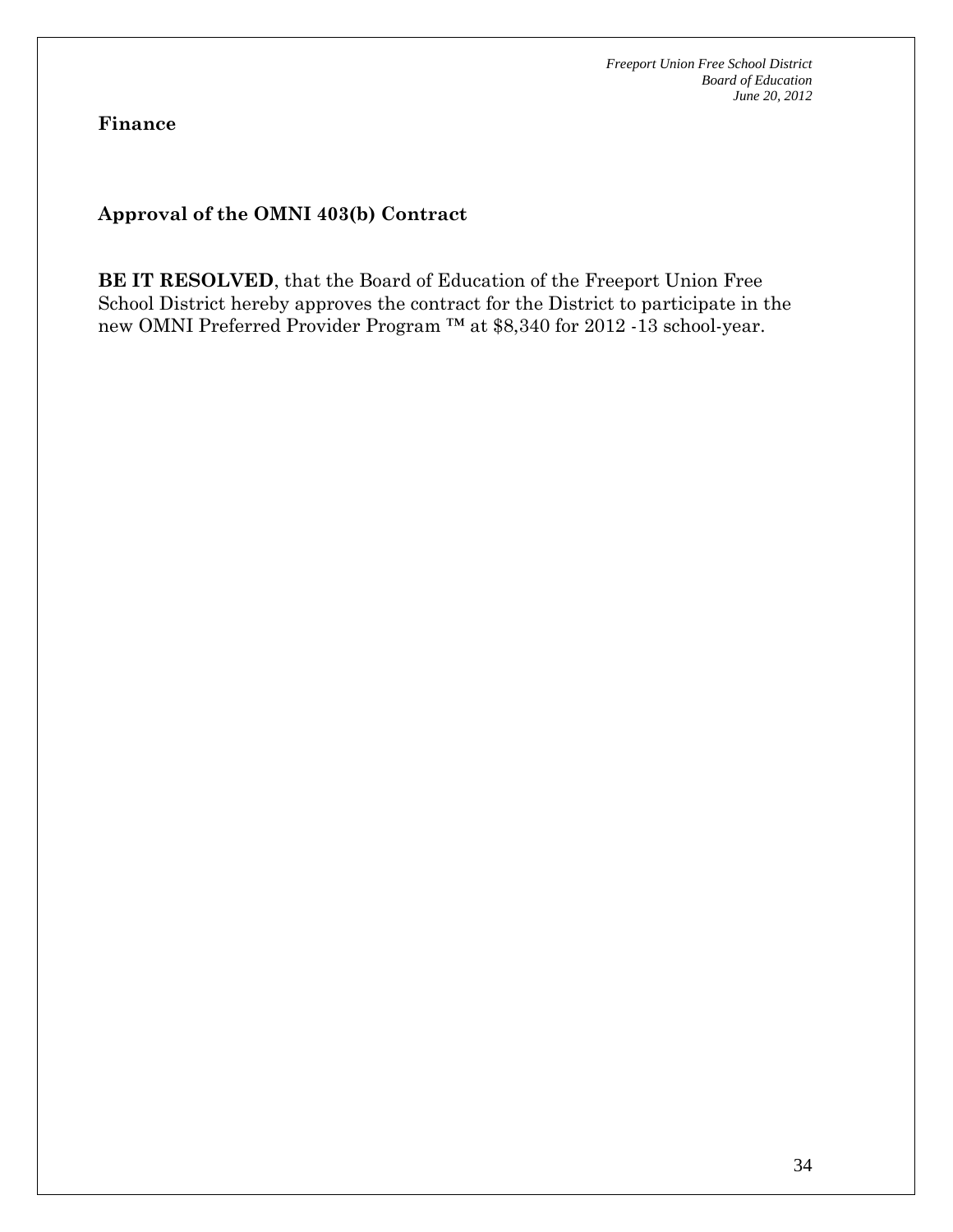**Finance** 

**Approval of the OMNI 403(b) Contract** 

**BE IT RESOLVED**, that the Board of Education of the Freeport Union Free School District hereby approves the contract for the District to participate in the new OMNI Preferred Provider Program ™ at \$8,340 for 2012 -13 school-year.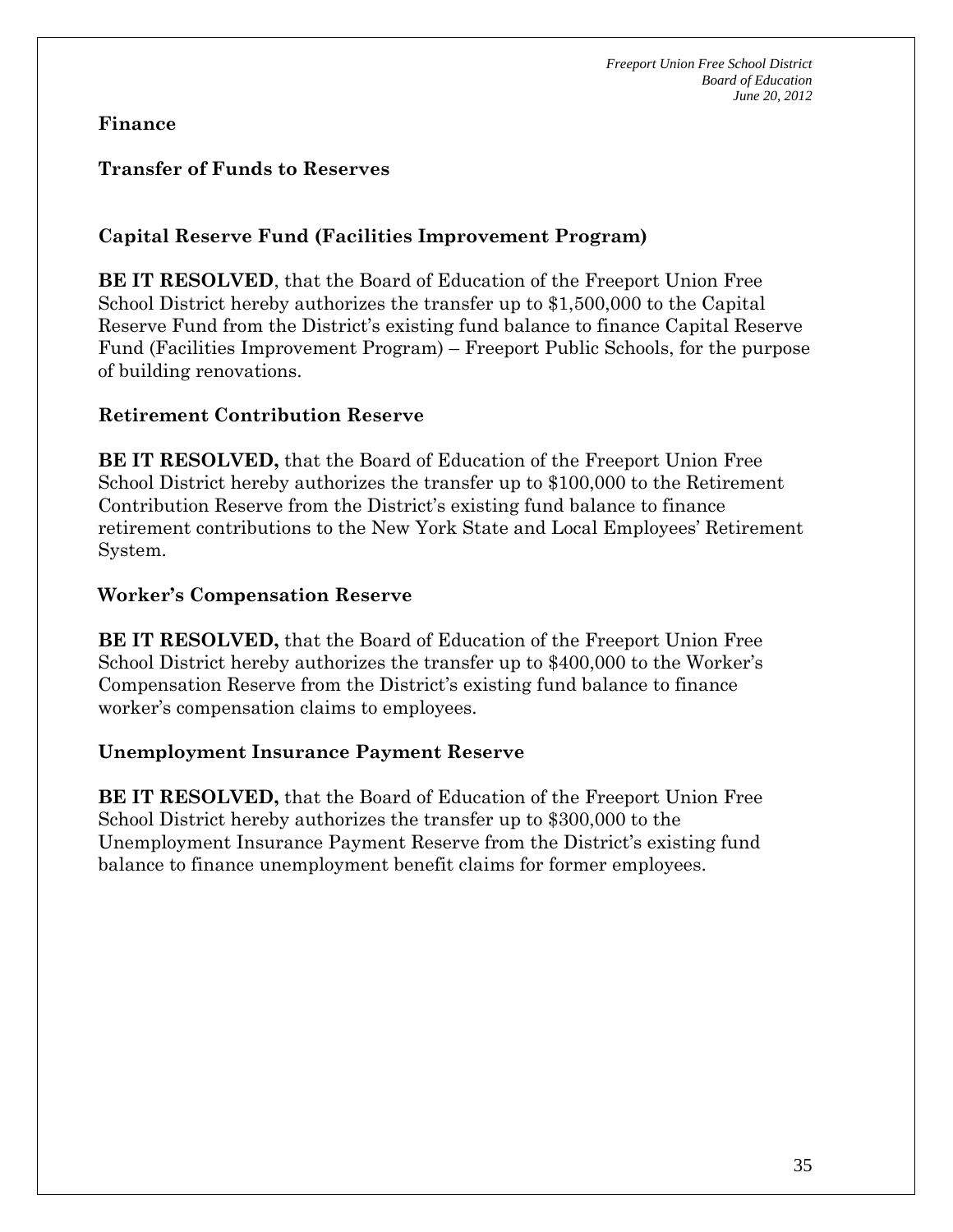#### **Transfer of Funds to Reserves**

## **Capital Reserve Fund (Facilities Improvement Program)**

**BE IT RESOLVED**, that the Board of Education of the Freeport Union Free School District hereby authorizes the transfer up to \$1,500,000 to the Capital Reserve Fund from the District's existing fund balance to finance Capital Reserve Fund (Facilities Improvement Program) – Freeport Public Schools, for the purpose of building renovations.

#### **Retirement Contribution Reserve**

**BE IT RESOLVED,** that the Board of Education of the Freeport Union Free School District hereby authorizes the transfer up to \$100,000 to the Retirement Contribution Reserve from the District's existing fund balance to finance retirement contributions to the New York State and Local Employees' Retirement System.

#### **Worker's Compensation Reserve**

**BE IT RESOLVED,** that the Board of Education of the Freeport Union Free School District hereby authorizes the transfer up to \$400,000 to the Worker's Compensation Reserve from the District's existing fund balance to finance worker's compensation claims to employees.

#### **Unemployment Insurance Payment Reserve**

**BE IT RESOLVED,** that the Board of Education of the Freeport Union Free School District hereby authorizes the transfer up to \$300,000 to the Unemployment Insurance Payment Reserve from the District's existing fund balance to finance unemployment benefit claims for former employees.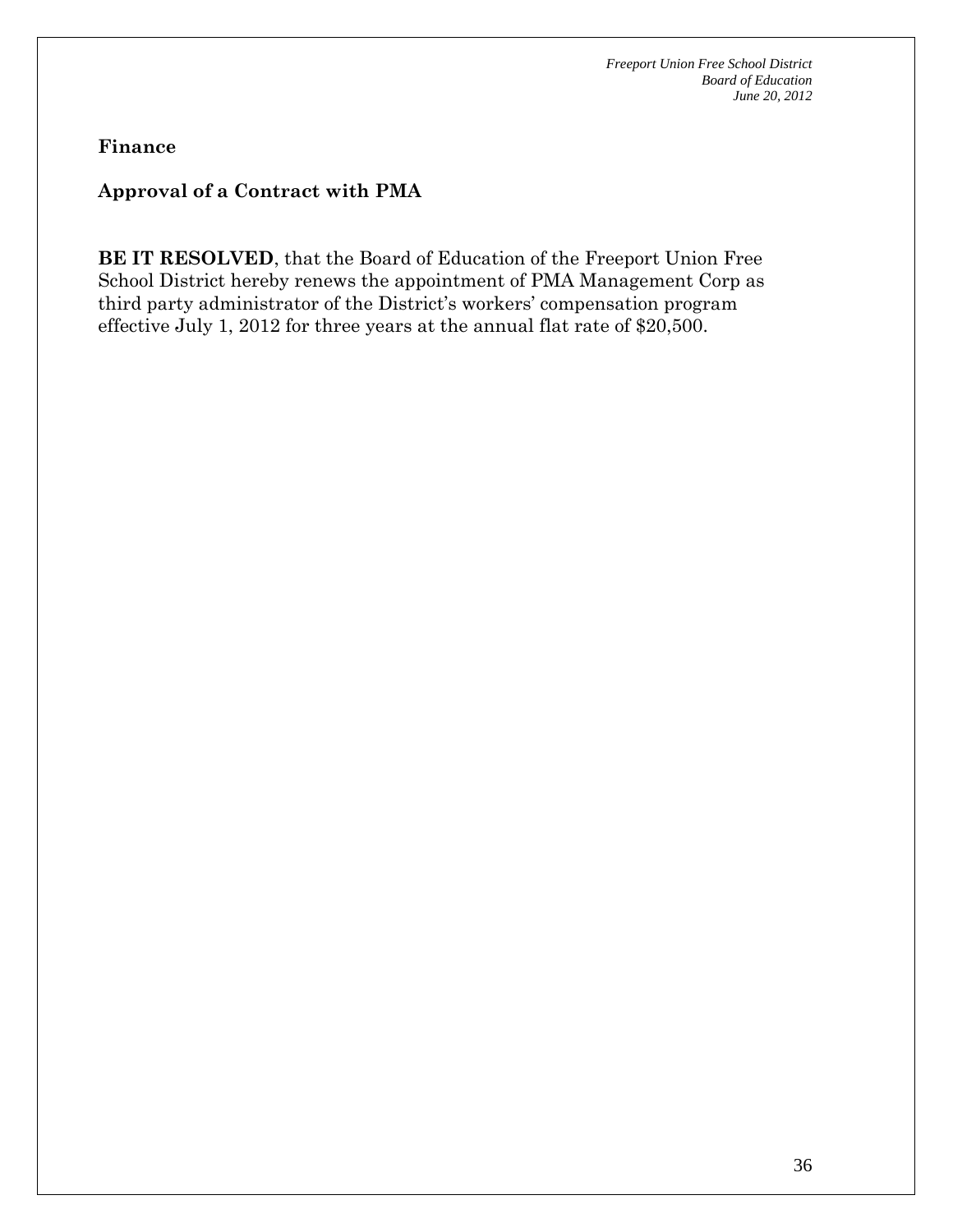**Finance** 

# **Approval of a Contract with PMA**

**BE IT RESOLVED**, that the Board of Education of the Freeport Union Free School District hereby renews the appointment of PMA Management Corp as third party administrator of the District's workers' compensation program effective July 1, 2012 for three years at the annual flat rate of \$20,500.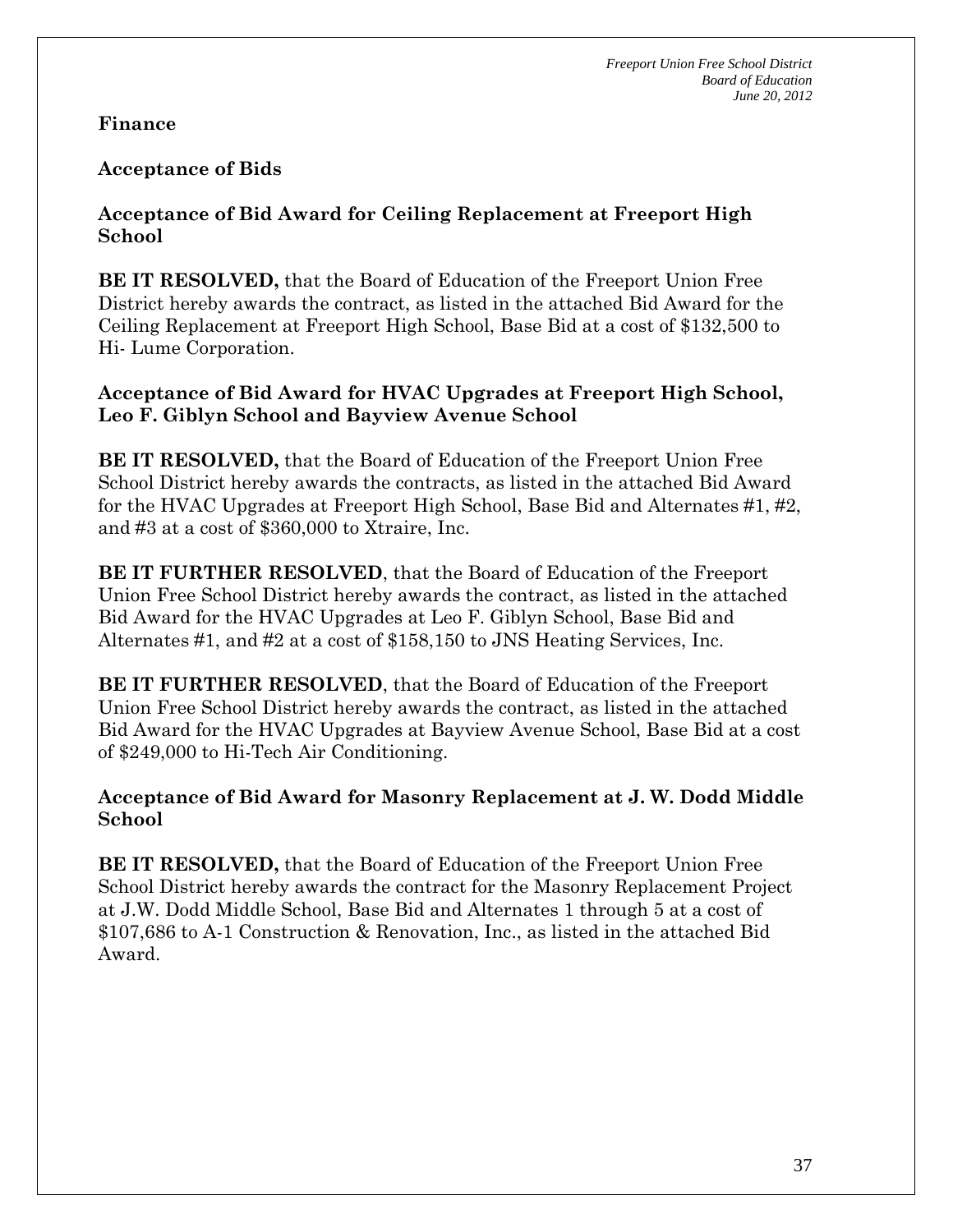#### **Acceptance of Bids**

#### **Acceptance of Bid Award for Ceiling Replacement at Freeport High School**

**BE IT RESOLVED,** that the Board of Education of the Freeport Union Free District hereby awards the contract, as listed in the attached Bid Award for the Ceiling Replacement at Freeport High School, Base Bid at a cost of \$132,500 to Hi- Lume Corporation.

#### **Acceptance of Bid Award for HVAC Upgrades at Freeport High School, Leo F. Giblyn School and Bayview Avenue School**

**BE IT RESOLVED,** that the Board of Education of the Freeport Union Free School District hereby awards the contracts, as listed in the attached Bid Award for the HVAC Upgrades at Freeport High School, Base Bid and Alternates #1, #2, and #3 at a cost of \$360,000 to Xtraire, Inc.

**BE IT FURTHER RESOLVED**, that the Board of Education of the Freeport Union Free School District hereby awards the contract, as listed in the attached Bid Award for the HVAC Upgrades at Leo F. Giblyn School, Base Bid and Alternates #1, and #2 at a cost of \$158,150 to JNS Heating Services, Inc.

**BE IT FURTHER RESOLVED**, that the Board of Education of the Freeport Union Free School District hereby awards the contract, as listed in the attached Bid Award for the HVAC Upgrades at Bayview Avenue School, Base Bid at a cost of \$249,000 to Hi-Tech Air Conditioning.

#### **Acceptance of Bid Award for Masonry Replacement at J. W. Dodd Middle School**

**BE IT RESOLVED,** that the Board of Education of the Freeport Union Free School District hereby awards the contract for the Masonry Replacement Project at J.W. Dodd Middle School, Base Bid and Alternates 1 through 5 at a cost of \$107,686 to A-1 Construction & Renovation, Inc., as listed in the attached Bid Award.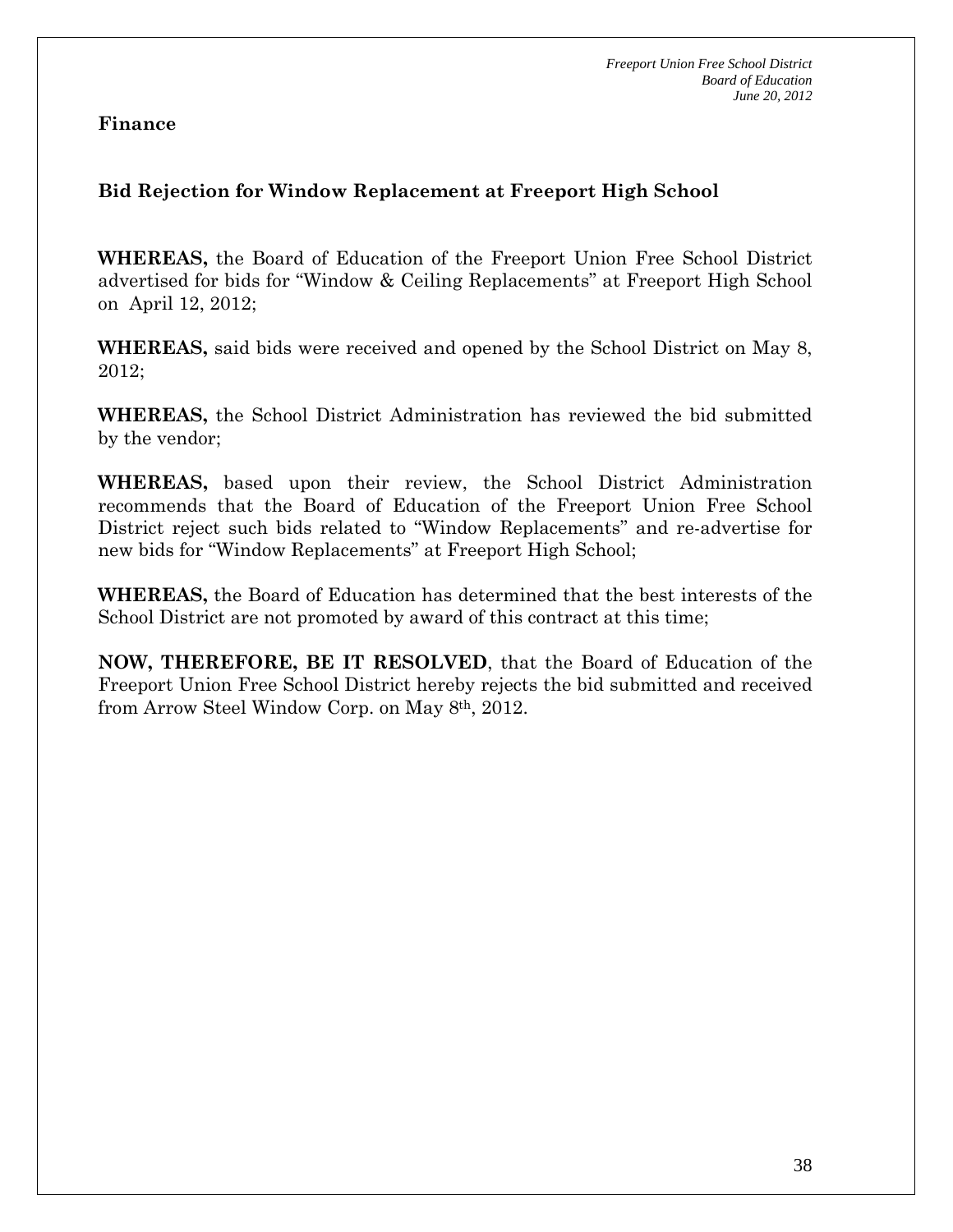## **Bid Rejection for Window Replacement at Freeport High School**

**WHEREAS,** the Board of Education of the Freeport Union Free School District advertised for bids for "Window & Ceiling Replacements" at Freeport High School on April 12, 2012;

**WHEREAS,** said bids were received and opened by the School District on May 8, 2012;

**WHEREAS,** the School District Administration has reviewed the bid submitted by the vendor;

**WHEREAS,** based upon their review, the School District Administration recommends that the Board of Education of the Freeport Union Free School District reject such bids related to "Window Replacements" and re-advertise for new bids for "Window Replacements" at Freeport High School;

**WHEREAS,** the Board of Education has determined that the best interests of the School District are not promoted by award of this contract at this time;

**NOW, THEREFORE, BE IT RESOLVED**, that the Board of Education of the Freeport Union Free School District hereby rejects the bid submitted and received from Arrow Steel Window Corp. on May 8th, 2012.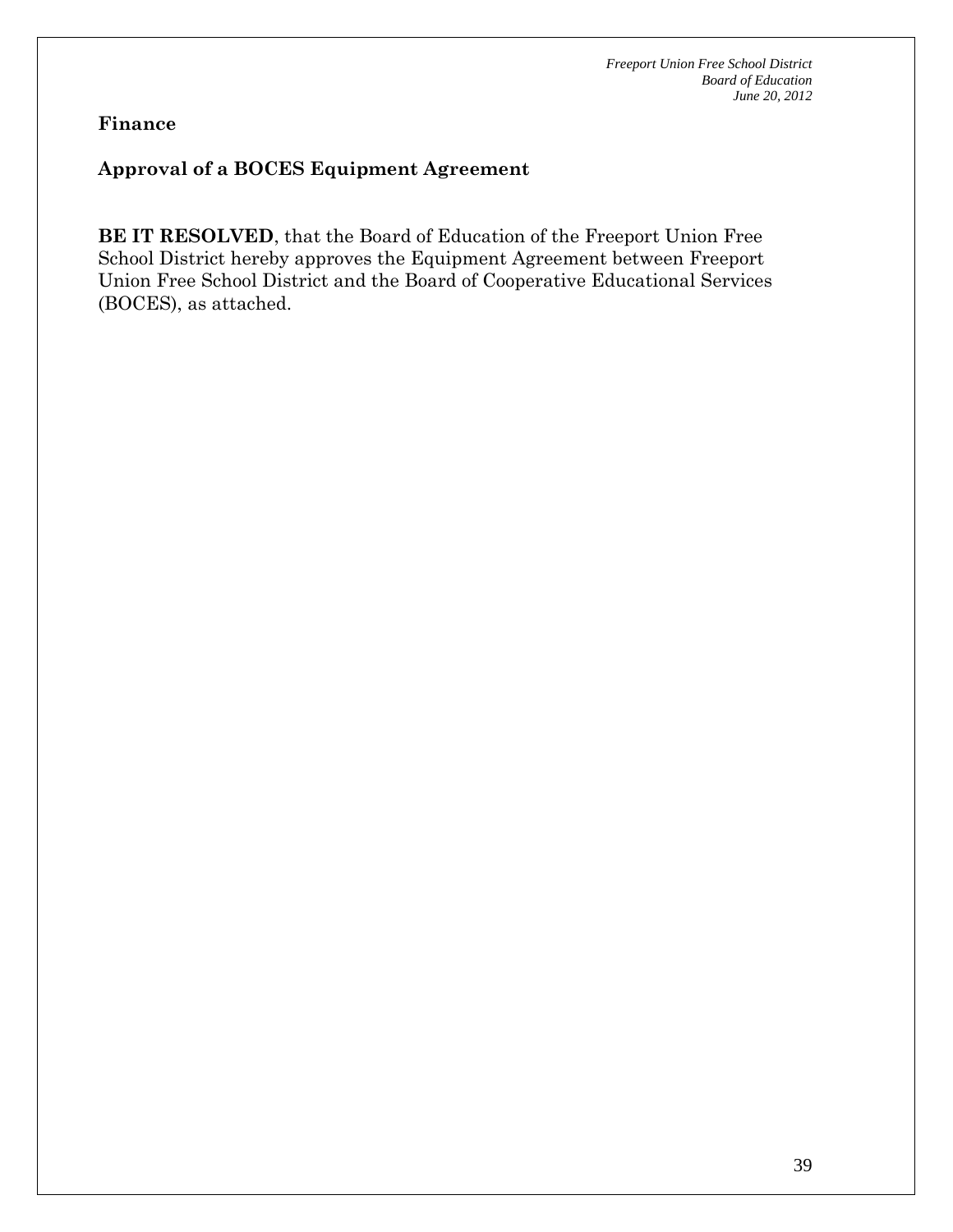## **Approval of a BOCES Equipment Agreement**

**BE IT RESOLVED**, that the Board of Education of the Freeport Union Free School District hereby approves the Equipment Agreement between Freeport Union Free School District and the Board of Cooperative Educational Services (BOCES), as attached.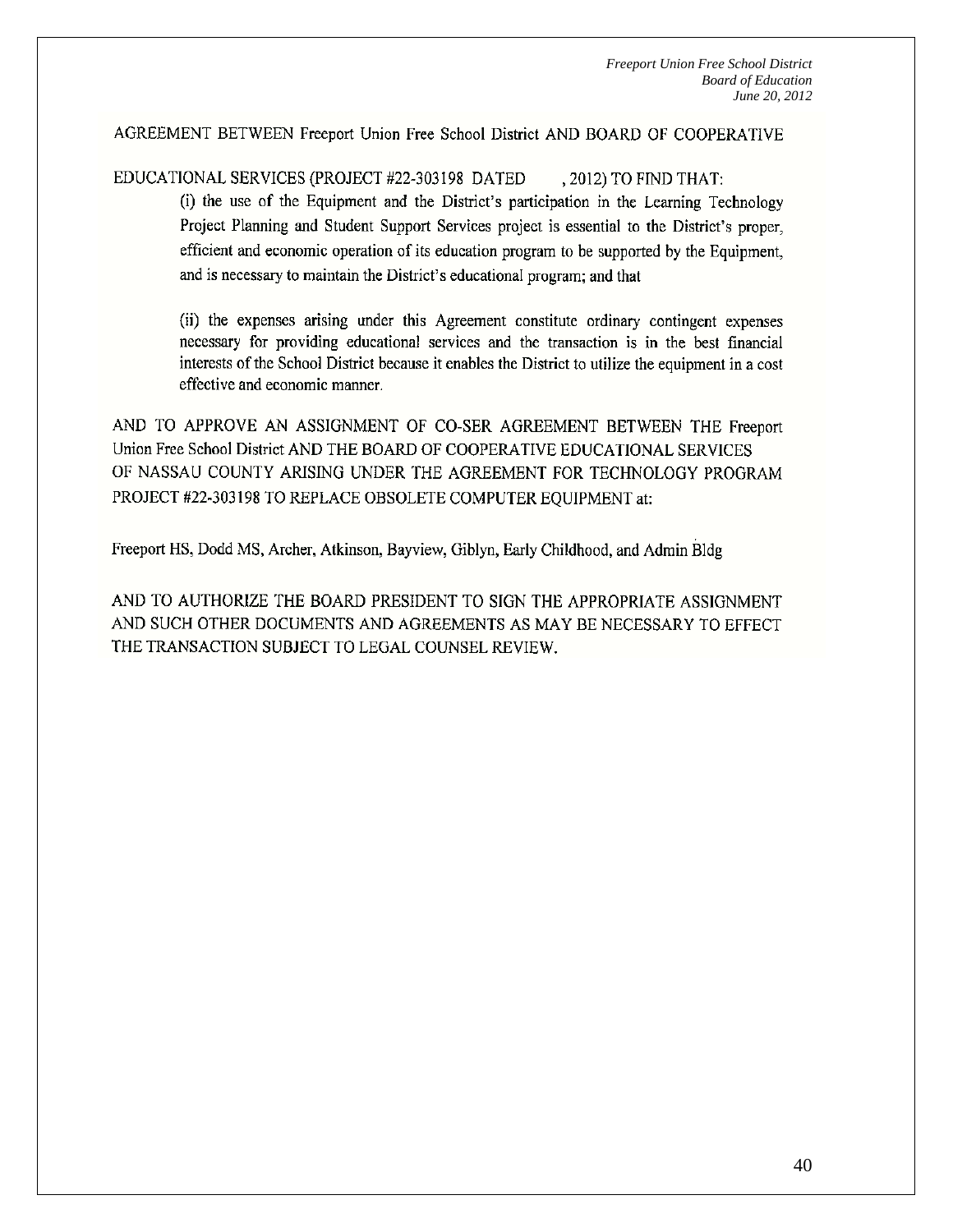AGREEMENT BETWEEN Freeport Union Free School District AND BOARD OF COOPERATIVE

EDUCATIONAL SERVICES (PROJECT #22-303198 DATED , 2012) TO FIND THAT:

> (i) the use of the Equipment and the District's participation in the Learning Technology Project Planning and Student Support Services project is essential to the District's proper, efficient and economic operation of its education program to be supported by the Equipment, and is necessary to maintain the District's educational program; and that

> (ii) the expenses arising under this Agreement constitute ordinary contingent expenses necessary for providing educational services and the transaction is in the best financial interests of the School District because it enables the District to utilize the equipment in a cost effective and economic manner.

AND TO APPROVE AN ASSIGNMENT OF CO-SER AGREEMENT BETWEEN THE Freeport Union Free School District AND THE BOARD OF COOPERATIVE EDUCATIONAL SERVICES OF NASSAU COUNTY ARISING UNDER THE AGREEMENT FOR TECHNOLOGY PROGRAM PROJECT #22-303198 TO REPLACE OBSOLETE COMPUTER EQUIPMENT at:

Freeport HS, Dodd MS, Archer, Atkinson, Bayview, Giblyn, Early Childhood, and Admin Bldg

AND TO AUTHORIZE THE BOARD PRESIDENT TO SIGN THE APPROPRIATE ASSIGNMENT AND SUCH OTHER DOCUMENTS AND AGREEMENTS AS MAY BE NECESSARY TO EFFECT THE TRANSACTION SUBJECT TO LEGAL COUNSEL REVIEW.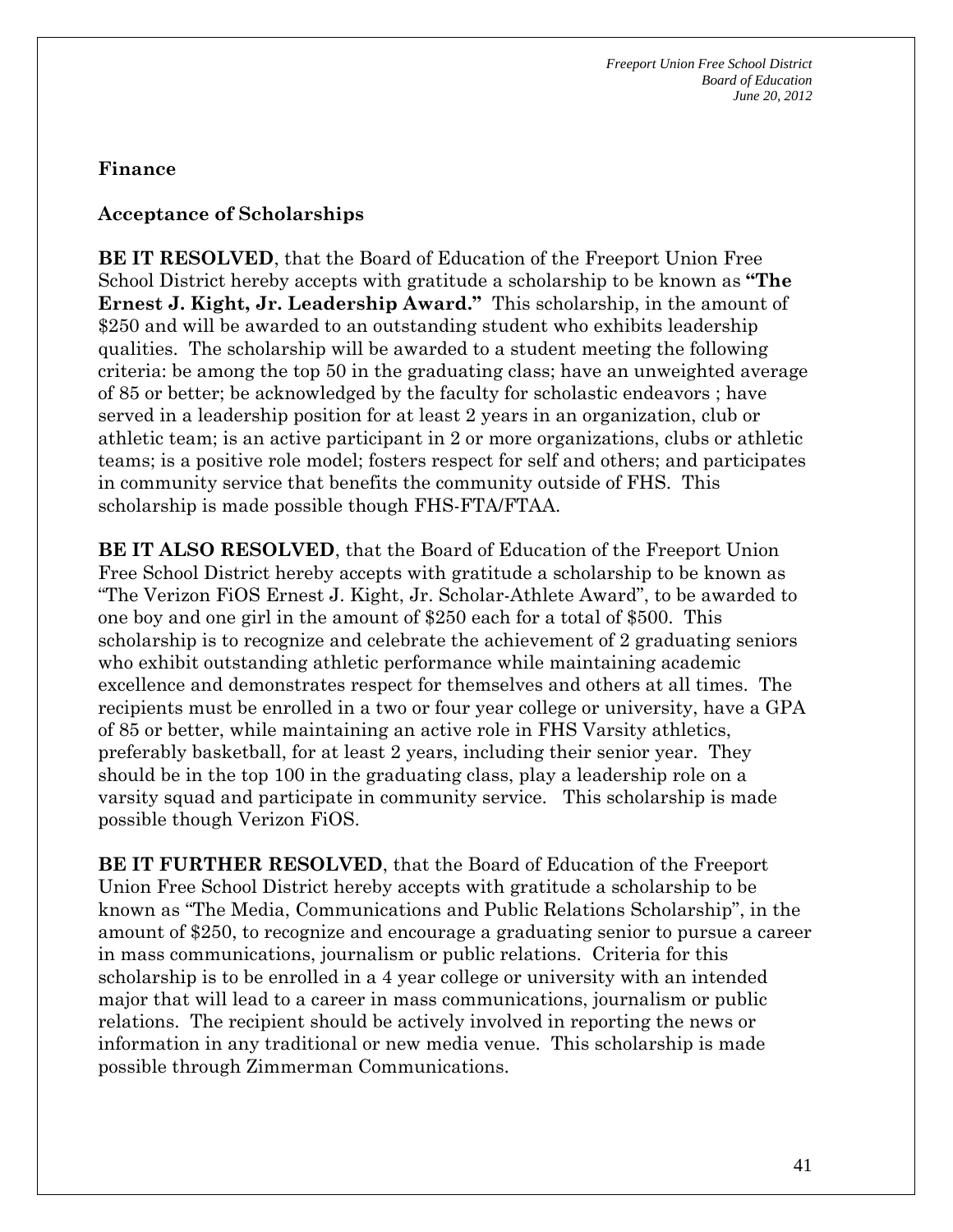#### **Acceptance of Scholarships**

**BE IT RESOLVED**, that the Board of Education of the Freeport Union Free School District hereby accepts with gratitude a scholarship to be known as **"The Ernest J. Kight, Jr. Leadership Award."** This scholarship, in the amount of \$250 and will be awarded to an outstanding student who exhibits leadership qualities. The scholarship will be awarded to a student meeting the following criteria: be among the top 50 in the graduating class; have an unweighted average of 85 or better; be acknowledged by the faculty for scholastic endeavors ; have served in a leadership position for at least 2 years in an organization, club or athletic team; is an active participant in 2 or more organizations, clubs or athletic teams; is a positive role model; fosters respect for self and others; and participates in community service that benefits the community outside of FHS. This scholarship is made possible though FHS-FTA/FTAA.

**BE IT ALSO RESOLVED**, that the Board of Education of the Freeport Union Free School District hereby accepts with gratitude a scholarship to be known as "The Verizon FiOS Ernest J. Kight, Jr. Scholar-Athlete Award", to be awarded to one boy and one girl in the amount of \$250 each for a total of \$500. This scholarship is to recognize and celebrate the achievement of 2 graduating seniors who exhibit outstanding athletic performance while maintaining academic excellence and demonstrates respect for themselves and others at all times. The recipients must be enrolled in a two or four year college or university, have a GPA of 85 or better, while maintaining an active role in FHS Varsity athletics, preferably basketball, for at least 2 years, including their senior year. They should be in the top 100 in the graduating class, play a leadership role on a varsity squad and participate in community service. This scholarship is made possible though Verizon FiOS.

**BE IT FURTHER RESOLVED**, that the Board of Education of the Freeport Union Free School District hereby accepts with gratitude a scholarship to be known as "The Media, Communications and Public Relations Scholarship", in the amount of \$250, to recognize and encourage a graduating senior to pursue a career in mass communications, journalism or public relations. Criteria for this scholarship is to be enrolled in a 4 year college or university with an intended major that will lead to a career in mass communications, journalism or public relations. The recipient should be actively involved in reporting the news or information in any traditional or new media venue. This scholarship is made possible through Zimmerman Communications.